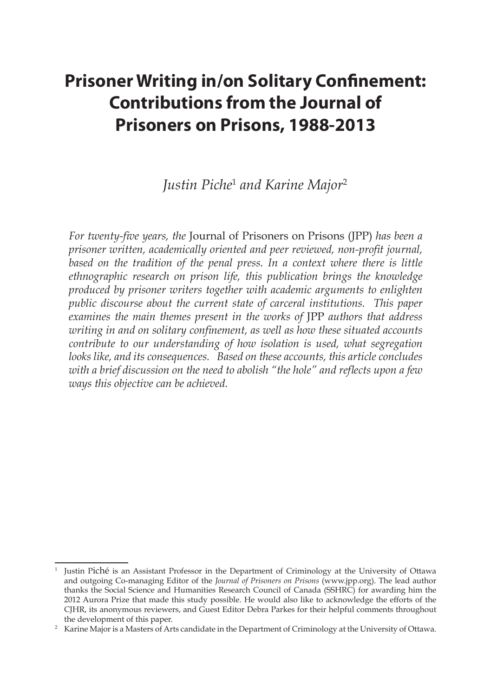# **Prisoner Writing in/on Solitary Confinement: Contributions from the Journal of Prisoners on Prisons, 1988-2013**

# *Justin Piche*<sup>1</sup>  *and Karine Major*<sup>2</sup>

*For twenty-five years, the* Journal of Prisoners on Prisons (JPP) *has been a prisoner written, academically oriented and peer reviewed, non-profit journal, based on the tradition of the penal press. In a context where there is little ethnographic research on prison life, this publication brings the knowledge produced by prisoner writers together with academic arguments to enlighten public discourse about the current state of carceral institutions. This paper examines the main themes present in the works of* JPP *authors that address writing in and on solitary confinement, as well as how these situated accounts contribute to our understanding of how isolation is used, what segregation looks like, and its consequences. Based on these accounts, this article concludes with a brief discussion on the need to abolish "the hole" and reflects upon a few ways this objective can be achieved.*

<sup>1</sup> Justin Piché is an Assistant Professor in the Department of Criminology at the University of Ottawa and outgoing Co-managing Editor of the *Journal of Prisoners on Prisons* (www.jpp.org). The lead author thanks the Social Science and Humanities Research Council of Canada (SSHRC) for awarding him the 2012 Aurora Prize that made this study possible. He would also like to acknowledge the efforts of the CJHR, its anonymous reviewers, and Guest Editor Debra Parkes for their helpful comments throughout the development of this paper.

<sup>&</sup>lt;sup>2</sup> Karine Major is a Masters of Arts candidate in the Department of Criminology at the University of Ottawa.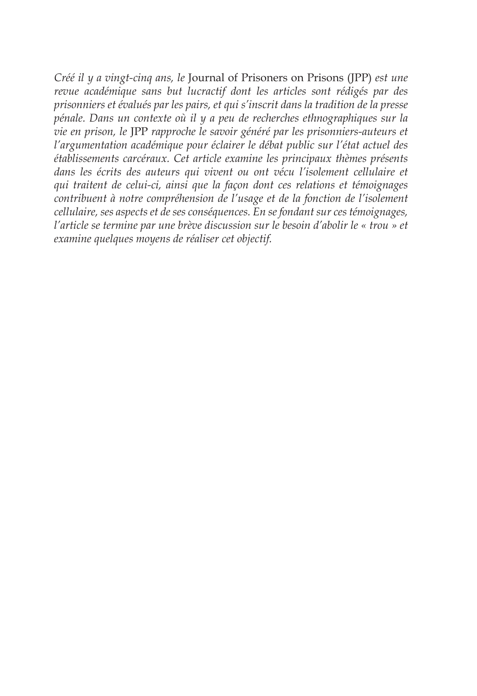*Créé il y a vingt-cinq ans, le* Journal of Prisoners on Prisons (JPP) *est une revue académique sans but lucractif dont les articles sont rédigés par des prisonniers et évalués par les pairs, et qui s'inscrit dans la tradition de la presse pénale. Dans un contexte où il y a peu de recherches ethnographiques sur la vie en prison, le* JPP *rapproche le savoir généré par les prisonniers-auteurs et l'argumentation académique pour éclairer le débat public sur l'état actuel des établissements carcéraux. Cet article examine les principaux thèmes présents dans les écrits des auteurs qui vivent ou ont vécu l'isolement cellulaire et qui traitent de celui-ci, ainsi que la façon dont ces relations et témoignages contribuent à notre compréhension de l'usage et de la fonction de l'isolement cellulaire, ses aspects et de ses conséquences. En se fondant sur ces témoignages, l'article se termine par une brève discussion sur le besoin d'abolir le « trou » et examine quelques moyens de réaliser cet objectif.*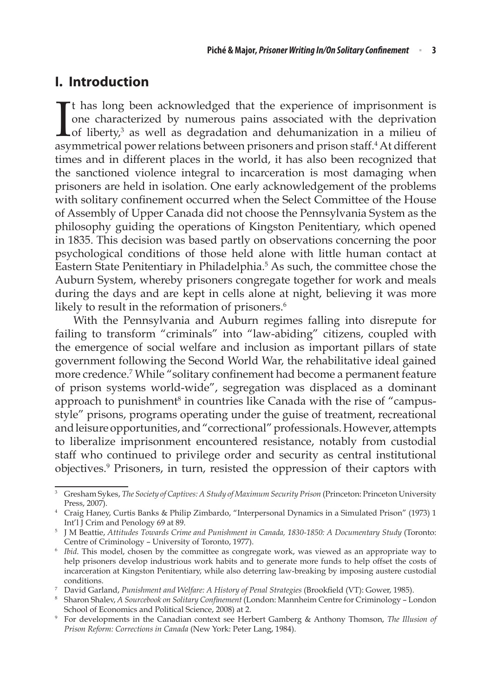# **I. Introduction**

I t has long been acknowledged that the experience of imprisonment is one characterized by numerous pains associated with the deprivation of liberty,<sup>3</sup> as well as degradation and dehumanization in a milieu of asymmetrical power relations between prisoners and prison staff.<sup>4</sup> At different times and in different places in the world, it has also been recognized that the sanctioned violence integral to incarceration is most damaging when prisoners are held in isolation. One early acknowledgement of the problems with solitary confinement occurred when the Select Committee of the House of Assembly of Upper Canada did not choose the Pennsylvania System as the philosophy guiding the operations of Kingston Penitentiary, which opened in 1835. This decision was based partly on observations concerning the poor psychological conditions of those held alone with little human contact at Eastern State Penitentiary in Philadelphia.<sup>5</sup> As such, the committee chose the Auburn System, whereby prisoners congregate together for work and meals during the days and are kept in cells alone at night, believing it was more likely to result in the reformation of prisoners.<sup>6</sup>

With the Pennsylvania and Auburn regimes falling into disrepute for failing to transform "criminals" into "law-abiding" citizens, coupled with the emergence of social welfare and inclusion as important pillars of state government following the Second World War, the rehabilitative ideal gained more credence.7 While "solitary confinement had become a permanent feature of prison systems world-wide", segregation was displaced as a dominant approach to punishment<sup>8</sup> in countries like Canada with the rise of "campusstyle" prisons, programs operating under the guise of treatment, recreational and leisure opportunities, and "correctional" professionals. However, attempts to liberalize imprisonment encountered resistance, notably from custodial staff who continued to privilege order and security as central institutional objectives.9 Prisoners, in turn, resisted the oppression of their captors with

<sup>3</sup> Gresham Sykes, *The Society of Captives: A Study of Maximum Security Prison* (Princeton: Princeton University Press, 2007).

<sup>4</sup> Craig Haney, Curtis Banks & Philip Zimbardo, "Interpersonal Dynamics in a Simulated Prison" (1973) 1

<sup>&</sup>lt;sup>5</sup> J M Beattie, *Attitudes Towards Crime and Punishment in Canada*, 1830-1850: A Documentary Study (Toronto: Centre of Criminology – University of Toronto, 1977).

<sup>6</sup> *Ibid*. This model, chosen by the committee as congregate work, was viewed as an appropriate way to help prisoners develop industrious work habits and to generate more funds to help offset the costs of incarceration at Kingston Penitentiary, while also deterring law-breaking by imposing austere custodial

conditions. 7 David Garland, *Punishment and Welfare: A History of Penal Strategies* (Brookfield (VT): Gower, 1985).

<sup>8</sup> Sharon Shalev, *A Sourcebook on Solitary Confinement* (London: Mannheim Centre for Criminology – London School of Economics and Political Science, 2008) at 2.

<sup>9</sup> For developments in the Canadian context see Herbert Gamberg & Anthony Thomson, *The Illusion of Prison Reform: Corrections in Canada* (New York: Peter Lang, 1984).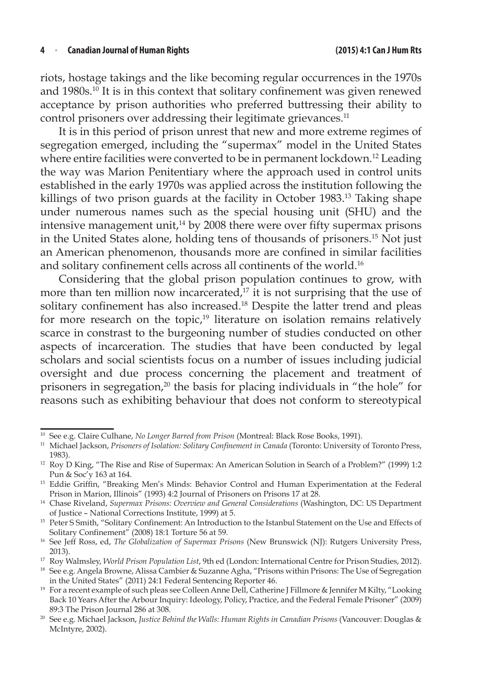riots, hostage takings and the like becoming regular occurrences in the 1970s and 1980s.<sup>10</sup> It is in this context that solitary confinement was given renewed acceptance by prison authorities who preferred buttressing their ability to control prisoners over addressing their legitimate grievances.<sup>11</sup>

It is in this period of prison unrest that new and more extreme regimes of segregation emerged, including the "supermax" model in the United States where entire facilities were converted to be in permanent lockdown.<sup>12</sup> Leading the way was Marion Penitentiary where the approach used in control units established in the early 1970s was applied across the institution following the killings of two prison guards at the facility in October 1983.<sup>13</sup> Taking shape under numerous names such as the special housing unit (SHU) and the intensive management unit, $14 \text{ by } 2008$  there were over fifty supermax prisons in the United States alone, holding tens of thousands of prisoners.15 Not just an American phenomenon, thousands more are confined in similar facilities and solitary confinement cells across all continents of the world.<sup>16</sup>

Considering that the global prison population continues to grow, with more than ten million now incarcerated, $17$  it is not surprising that the use of solitary confinement has also increased.18 Despite the latter trend and pleas for more research on the topic,<sup>19</sup> literature on isolation remains relatively scarce in constrast to the burgeoning number of studies conducted on other aspects of incarceration. The studies that have been conducted by legal scholars and social scientists focus on a number of issues including judicial oversight and due process concerning the placement and treatment of prisoners in segregation, $20$  the basis for placing individuals in "the hole" for reasons such as exhibiting behaviour that does not conform to stereotypical

<sup>10</sup> See e.g. Claire Culhane, *No Longer Barred from Prison* (Montreal: Black Rose Books, 1991).

<sup>11</sup> Michael Jackson, *Prisoners of Isolation: Solitary Confinement in Canada* (Toronto: University of Toronto Press, 1983).

<sup>12</sup> Roy D King, "The Rise and Rise of Supermax: An American Solution in Search of a Problem?" (1999) 1:2 Pun & Soc'y 163 at 164.

<sup>&</sup>lt;sup>13</sup> Eddie Griffin, "Breaking Men's Minds: Behavior Control and Human Experimentation at the Federal Prison in Marion, Illinois" (1993) 4:2 Journal of Prisoners on Prisons 17 at 28.

<sup>&</sup>lt;sup>14</sup> Chase Riveland, *Supermax Prisons: Overview and General Considerations* (Washington, DC: US Department of Justice – National Corrections Institute, 1999) at 5.

<sup>&</sup>lt;sup>15</sup> Peter S Smith, "Solitary Confinement: An Introduction to the Istanbul Statement on the Use and Effects of Solitary Confinement" (2008) 18:1 Torture 56 at 59.

<sup>16</sup> See Jeff Ross, ed, *The Globalization of Supermax Prisons* (New Brunswick (NJ): Rutgers University Press, 2013).

<sup>&</sup>lt;sup>17</sup> Roy Walmsley, *World Prison Population List*, 9th ed (London: International Centre for Prison Studies, 2012).

<sup>&</sup>lt;sup>18</sup> See e.g. Angela Browne, Alissa Cambier & Suzanne Agha, "Prisons within Prisons: The Use of Segregation in the United States" (2011) 24:1 Federal Sentencing Reporter 46.

<sup>19</sup> For a recent example of such pleas see Colleen Anne Dell, Catherine J Fillmore & Jennifer M Kilty, "Looking Back 10 Years After the Arbour Inquiry: Ideology, Policy, Practice, and the Federal Female Prisoner" (2009) 89:3 The Prison Journal 286 at 308.

<sup>20</sup> See e.g. Michael Jackson, *Justice Behind the Walls: Human Rights in Canadian Prisons* (Vancouver: Douglas & McIntyre, 2002).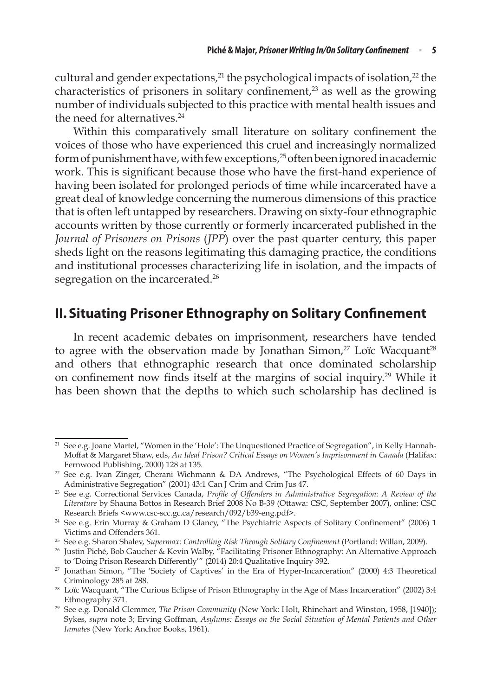cultural and gender expectations,<sup>21</sup> the psychological impacts of isolation,<sup>22</sup> the characteristics of prisoners in solitary confinement, $2<sup>3</sup>$  as well as the growing number of individuals subjected to this practice with mental health issues and the need for alternatives.<sup>24</sup>

Within this comparatively small literature on solitary confinement the voices of those who have experienced this cruel and increasingly normalized form of punishment have, with few exceptions,<sup>25</sup> often been ignored in academic work. This is significant because those who have the first-hand experience of having been isolated for prolonged periods of time while incarcerated have a great deal of knowledge concerning the numerous dimensions of this practice that is often left untapped by researchers. Drawing on sixty-four ethnographic accounts written by those currently or formerly incarcerated published in the *Journal of Prisoners on Prisons* (*JPP*) over the past quarter century, this paper sheds light on the reasons legitimating this damaging practice, the conditions and institutional processes characterizing life in isolation, and the impacts of segregation on the incarcerated.<sup>26</sup>

# **II.Situating Prisoner Ethnography on Solitary Confinement**

In recent academic debates on imprisonment, researchers have tended to agree with the observation made by Jonathan Simon, $27$  Loïc Wacquant<sup>28</sup> and others that ethnographic research that once dominated scholarship on confinement now finds itself at the margins of social inquiry.29 While it has been shown that the depths to which such scholarship has declined is

<sup>&</sup>lt;sup>21</sup> See e.g. Joane Martel, "Women in the 'Hole': The Unquestioned Practice of Segregation", in Kelly Hannah-Moffat & Margaret Shaw, eds, *An Ideal Prison? Critical Essays on Women's Imprisonment in Canada* (Halifax: Fernwood Publishing, 2000) 128 at 135.

 $22$  See e.g. Ivan Zinger, Cherani Wichmann & DA Andrews, "The Psychological Effects of 60 Days in Administrative Segregation" (2001) 43:1 Can J Crim and Crim Jus 47.<br><sup>23</sup> See e.g. Correctional Services Canada, *Profile of Offenders in Administrative Segregation: A Review of the* 

*Literature* by Shauna Bottos in Research Brief 2008 No B-39 (Ottawa: CSC, September 2007), online: CSC Research Briefs <www.csc-scc.gc.ca/research/092/b39-eng.pdf>.

<sup>24</sup> See e.g. Erin Murray & Graham D Glancy, "The Psychiatric Aspects of Solitary Confinement" (2006) 1 Victims and Offenders 361.

<sup>25</sup> See e.g. Sharon Shalev, *Supermax: Controlling Risk Through Solitary Confinement* (Portland: Willan, 2009).

<sup>&</sup>lt;sup>26</sup> Justin Piché, Bob Gaucher & Kevin Walby, "Facilitating Prisoner Ethnography: An Alternative Approach to 'Doing Prison Research Differently'" (2014) 20:4 Qualitative Inquiry 392.

<sup>27</sup> Jonathan Simon, "The 'Society of Captives' in the Era of Hyper-Incarceration" (2000) 4:3 Theoretical Criminology 285 at 288.

<sup>&</sup>lt;sup>28</sup> Loïc Wacquant, "The Curious Eclipse of Prison Ethnography in the Age of Mass Incarceration" (2002) 3:4 Ethnography 371.

<sup>29</sup> See e.g. Donald Clemmer, *The Prison Community* (New York: Holt, Rhinehart and Winston, 1958, [1940]); Sykes, *supra* note 3; Erving Goffman, *Asylums: Essays on the Social Situation of Mental Patients and Other Inmates* (New York: Anchor Books, 1961).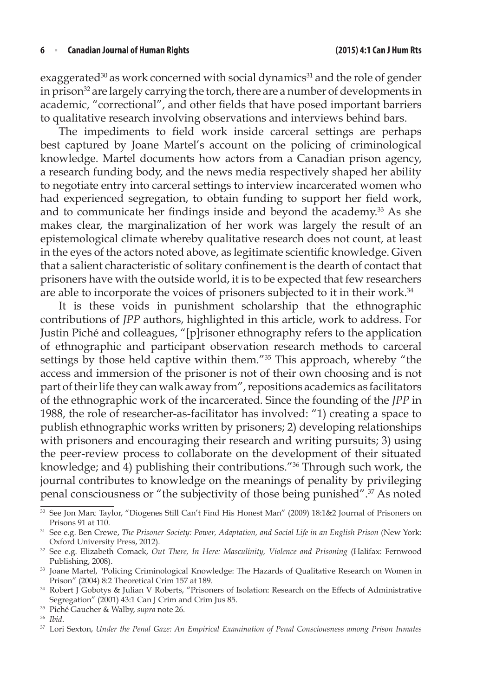exaggerated<sup>30</sup> as work concerned with social dynamics<sup>31</sup> and the role of gender in prison<sup>32</sup> are largely carrying the torch, there are a number of developments in academic, "correctional", and other fields that have posed important barriers to qualitative research involving observations and interviews behind bars.

The impediments to field work inside carceral settings are perhaps best captured by Joane Martel's account on the policing of criminological knowledge. Martel documents how actors from a Canadian prison agency, a research funding body, and the news media respectively shaped her ability to negotiate entry into carceral settings to interview incarcerated women who had experienced segregation, to obtain funding to support her field work, and to communicate her findings inside and beyond the academy.<sup>33</sup> As she makes clear, the marginalization of her work was largely the result of an epistemological climate whereby qualitative research does not count, at least in the eyes of the actors noted above, as legitimate scientific knowledge. Given that a salient characteristic of solitary confinement is the dearth of contact that prisoners have with the outside world, it is to be expected that few researchers are able to incorporate the voices of prisoners subjected to it in their work.<sup>34</sup>

It is these voids in punishment scholarship that the ethnographic contributions of *JPP* authors, highlighted in this article, work to address. For Justin Piché and colleagues, "[p]risoner ethnography refers to the application of ethnographic and participant observation research methods to carceral settings by those held captive within them."<sup>35</sup> This approach, whereby "the access and immersion of the prisoner is not of their own choosing and is not part of their life they can walk away from", repositions academics as facilitators of the ethnographic work of the incarcerated. Since the founding of the *JPP* in 1988, the role of researcher-as-facilitator has involved: "1) creating a space to publish ethnographic works written by prisoners; 2) developing relationships with prisoners and encouraging their research and writing pursuits; 3) using the peer-review process to collaborate on the development of their situated knowledge; and 4) publishing their contributions."36 Through such work, the journal contributes to knowledge on the meanings of penality by privileging penal consciousness or "the subjectivity of those being punished".37 As noted

<sup>30</sup> See Jon Marc Taylor, "Diogenes Still Can't Find His Honest Man" (2009) 18:1&2 Journal of Prisoners on Prisons 91 at 110.

<sup>31</sup> See e.g. Ben Crewe, *The Prisoner Society: Power, Adaptation, and Social Life in an English Prison* (New York: Oxford University Press, 2012).

<sup>32</sup> See e.g. Elizabeth Comack, *Out There, In Here: Masculinity, Violence and Prisoning* (Halifax: Fernwood Publishing, 2008). 33 Joane Martel, "Policing Criminological Knowledge: The Hazards of Qualitative Research on Women in

Prison" (2004) 8:2 Theoretical Crim 157 at 189.

<sup>34</sup> Robert J Gobotys & Julian V Roberts, "Prisoners of Isolation: Research on the Effects of Administrative Segregation" (2001) 43:1 Can J Crim and Crim Jus 85.

<sup>35</sup> Piché Gaucher & Walby, *supra* note 26.

<sup>36</sup> *Ibid*.

<sup>37</sup> Lori Sexton, *Under the Penal Gaze: An Empirical Examination of Penal Consciousness among Prison Inmates*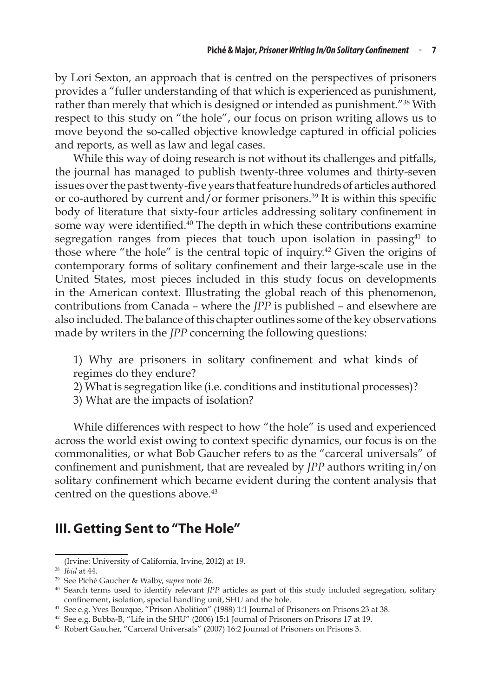by Lori Sexton, an approach that is centred on the perspectives of prisoners provides a "fuller understanding of that which is experienced as punishment, rather than merely that which is designed or intended as punishment."38 With respect to this study on "the hole", our focus on prison writing allows us to move beyond the so-called objective knowledge captured in official policies and reports, as well as law and legal cases.

While this way of doing research is not without its challenges and pitfalls, the journal has managed to publish twenty-three volumes and thirty-seven issues over the past twenty-five years that feature hundreds of articles authored or co-authored by current and/or former prisoners.<sup>39</sup> It is within this specific body of literature that sixty-four articles addressing solitary confinement in some way were identified.<sup>40</sup> The depth in which these contributions examine segregation ranges from pieces that touch upon isolation in passing<sup>41</sup> to those where "the hole" is the central topic of inquiry.42 Given the origins of contemporary forms of solitary confinement and their large-scale use in the United States, most pieces included in this study focus on developments in the American context. Illustrating the global reach of this phenomenon, contributions from Canada – where the *JPP* is published – and elsewhere are also included. The balance of this chapter outlines some of the key observations made by writers in the *JPP* concerning the following questions:

- 1) Why are prisoners in solitary confinement and what kinds of regimes do they endure?
- 2) What is segregation like (i.e. conditions and institutional processes)?
- 3) What are the impacts of isolation?

While differences with respect to how "the hole" is used and experienced across the world exist owing to context specific dynamics, our focus is on the commonalities, or what Bob Gaucher refers to as the "carceral universals" of confinement and punishment, that are revealed by *JPP* authors writing in/on solitary confinement which became evident during the content analysis that centred on the questions above.<sup>43</sup>

# **III. Getting Sent to "The Hole"**

<sup>(</sup>Irvine: University of California, Irvine, 2012) at 19.

<sup>38</sup> *Ibid* at 44.

<sup>39</sup> See Piché Gaucher & Walby, *supra* note 26.

<sup>40</sup> Search terms used to identify relevant *JPP* articles as part of this study included segregation, solitary confinement, isolation, special handling unit, SHU and the hole.

<sup>41</sup> See e.g. Yves Bourque, "Prison Abolition" (1988) 1:1 Journal of Prisoners on Prisons 23 at 38.

<sup>42</sup> See e.g. Bubba-B, "Life in the SHU" (2006) 15:1 Journal of Prisoners on Prisons 17 at 19.

<sup>43</sup> Robert Gaucher, "Carceral Universals" (2007) 16:2 Journal of Prisoners on Prisons 3.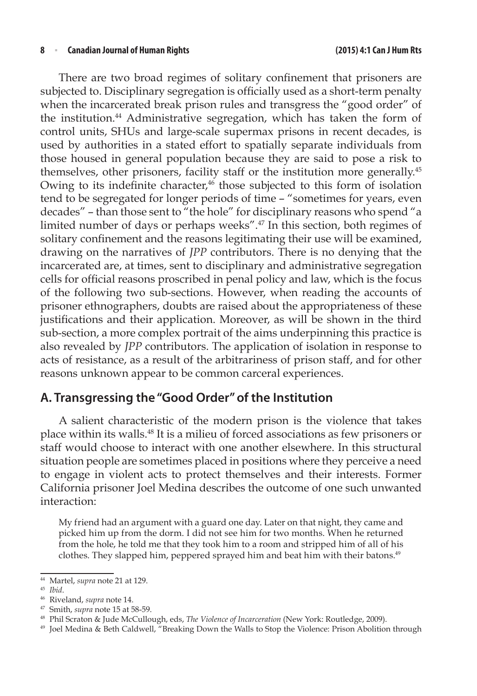There are two broad regimes of solitary confinement that prisoners are subjected to. Disciplinary segregation is officially used as a short-term penalty when the incarcerated break prison rules and transgress the "good order" of the institution.<sup>44</sup> Administrative segregation, which has taken the form of control units, SHUs and large-scale supermax prisons in recent decades, is used by authorities in a stated effort to spatially separate individuals from those housed in general population because they are said to pose a risk to themselves, other prisoners, facility staff or the institution more generally.45 Owing to its indefinite character,<sup>46</sup> those subjected to this form of isolation tend to be segregated for longer periods of time – "sometimes for years, even decades" – than those sent to "the hole" for disciplinary reasons who spend "a limited number of days or perhaps weeks".47 In this section, both regimes of solitary confinement and the reasons legitimating their use will be examined, drawing on the narratives of *JPP* contributors. There is no denying that the incarcerated are, at times, sent to disciplinary and administrative segregation cells for official reasons proscribed in penal policy and law, which is the focus of the following two sub-sections. However, when reading the accounts of prisoner ethnographers, doubts are raised about the appropriateness of these justifications and their application. Moreover, as will be shown in the third sub-section, a more complex portrait of the aims underpinning this practice is also revealed by *JPP* contributors. The application of isolation in response to acts of resistance, as a result of the arbitrariness of prison staff, and for other reasons unknown appear to be common carceral experiences.

### **A. Transgressing the "Good Order" of the Institution**

A salient characteristic of the modern prison is the violence that takes place within its walls.48 It is a milieu of forced associations as few prisoners or staff would choose to interact with one another elsewhere. In this structural situation people are sometimes placed in positions where they perceive a need to engage in violent acts to protect themselves and their interests. Former California prisoner Joel Medina describes the outcome of one such unwanted interaction:

My friend had an argument with a guard one day. Later on that night, they came and picked him up from the dorm. I did not see him for two months. When he returned from the hole, he told me that they took him to a room and stripped him of all of his clothes. They slapped him, peppered sprayed him and beat him with their batons.49

<sup>44</sup> Martel, *supra* note 21 at 129.

<sup>45</sup> *Ibid*.

<sup>46</sup> Riveland, *supra* note 14.

<sup>47</sup> Smith, *supra* note 15 at 58-59.

<sup>48</sup> Phil Scraton & Jude McCullough, eds, *The Violence of Incarceration* (New York: Routledge, 2009).

<sup>&</sup>lt;sup>49</sup> Joel Medina & Beth Caldwell, "Breaking Down the Walls to Stop the Violence: Prison Abolition through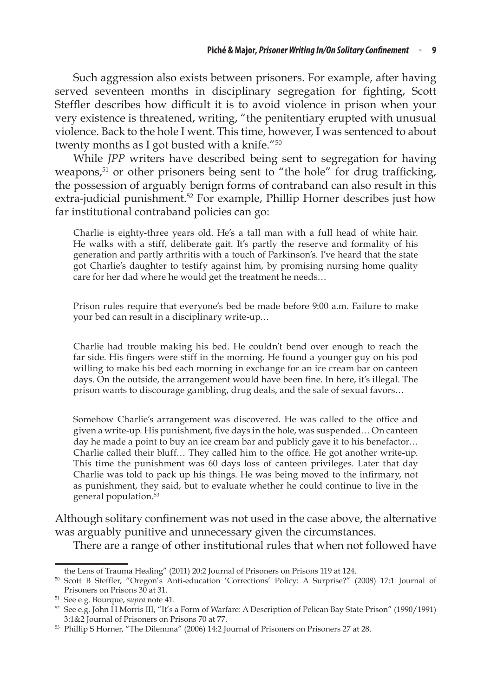Such aggression also exists between prisoners. For example, after having served seventeen months in disciplinary segregation for fighting, Scott Steffler describes how difficult it is to avoid violence in prison when your very existence is threatened, writing, "the penitentiary erupted with unusual violence. Back to the hole I went. This time, however, I was sentenced to about twenty months as I got busted with a knife."50

While *JPP* writers have described being sent to segregation for having weapons, $51$  or other prisoners being sent to "the hole" for drug trafficking, the possession of arguably benign forms of contraband can also result in this extra-judicial punishment.<sup>52</sup> For example, Phillip Horner describes just how far institutional contraband policies can go:

Charlie is eighty-three years old. He's a tall man with a full head of white hair. He walks with a stiff, deliberate gait. It's partly the reserve and formality of his generation and partly arthritis with a touch of Parkinson's. I've heard that the state got Charlie's daughter to testify against him, by promising nursing home quality care for her dad where he would get the treatment he needs…

Prison rules require that everyone's bed be made before 9:00 a.m. Failure to make your bed can result in a disciplinary write-up…

Charlie had trouble making his bed. He couldn't bend over enough to reach the far side. His fingers were stiff in the morning. He found a younger guy on his pod willing to make his bed each morning in exchange for an ice cream bar on canteen days. On the outside, the arrangement would have been fine. In here, it's illegal. The prison wants to discourage gambling, drug deals, and the sale of sexual favors…

Somehow Charlie's arrangement was discovered. He was called to the office and given a write-up. His punishment, five days in the hole, was suspended… On canteen day he made a point to buy an ice cream bar and publicly gave it to his benefactor… Charlie called their bluff… They called him to the office. He got another write-up. This time the punishment was 60 days loss of canteen privileges. Later that day Charlie was told to pack up his things. He was being moved to the infirmary, not as punishment, they said, but to evaluate whether he could continue to live in the general population.53

Although solitary confinement was not used in the case above, the alternative was arguably punitive and unnecessary given the circumstances.

There are a range of other institutional rules that when not followed have

the Lens of Trauma Healing" (2011) 20:2 Journal of Prisoners on Prisons 119 at 124.

<sup>50</sup> Scott B Steffler, "Oregon's Anti-education 'Corrections' Policy: A Surprise?" (2008) 17:1 Journal of Prisoners on Prisons 30 at 31.

<sup>51</sup> See e.g. Bourque, *supra* note 41.

<sup>52</sup> See e.g. John H Morris III, "It's a Form of Warfare: A Description of Pelican Bay State Prison" (1990/1991) 3:1&2 Journal of Prisoners on Prisons 70 at 77.

<sup>53</sup> Phillip S Horner, "The Dilemma" (2006) 14:2 Journal of Prisoners on Prisoners 27 at 28.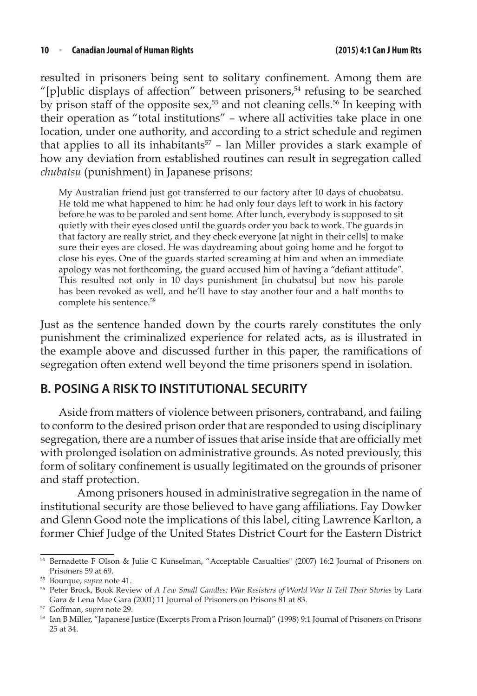resulted in prisoners being sent to solitary confinement. Among them are "[p]ublic displays of affection" between prisoners, $54$  refusing to be searched by prison staff of the opposite sex,<sup>55</sup> and not cleaning cells.<sup>56</sup> In keeping with their operation as "total institutions" – where all activities take place in one location, under one authority, and according to a strict schedule and regimen that applies to all its inhabitants<sup>57</sup> - Ian Miller provides a stark example of how any deviation from established routines can result in segregation called *chubatsu* (punishment) in Japanese prisons:

My Australian friend just got transferred to our factory after 10 days of chuobatsu. He told me what happened to him: he had only four days left to work in his factory before he was to be paroled and sent home. After lunch, everybody is supposed to sit quietly with their eyes closed until the guards order you back to work. The guards in that factory are really strict, and they check everyone [at night in their cells] to make sure their eyes are closed. He was daydreaming about going home and he forgot to close his eyes. One of the guards started screaming at him and when an immediate apology was not forthcoming, the guard accused him of having a "defiant attitude". This resulted not only in 10 days punishment [in chubatsu] but now his parole has been revoked as well, and he'll have to stay another four and a half months to complete his sentence.<sup>58</sup>

Just as the sentence handed down by the courts rarely constitutes the only punishment the criminalized experience for related acts, as is illustrated in the example above and discussed further in this paper, the ramifications of segregation often extend well beyond the time prisoners spend in isolation.

### **B. POSING A RISK TO INSTITUTIONAL SECURITY**

Aside from matters of violence between prisoners, contraband, and failing to conform to the desired prison order that are responded to using disciplinary segregation, there are a number of issues that arise inside that are officially met with prolonged isolation on administrative grounds. As noted previously, this form of solitary confinement is usually legitimated on the grounds of prisoner and staff protection.

Among prisoners housed in administrative segregation in the name of institutional security are those believed to have gang affiliations. Fay Dowker and Glenn Good note the implications of this label, citing Lawrence Karlton, a former Chief Judge of the United States District Court for the Eastern District

<sup>54</sup> Bernadette F Olson & Julie C Kunselman, "Acceptable Casualties" (2007) 16:2 Journal of Prisoners on Prisoners 59 at 69.

<sup>55</sup> Bourque, *supra* note 41.

<sup>56</sup> Peter Brock, Book Review of *A Few Small Candles: War Resisters of World War II Tell Their Stories* by Lara Gara & Lena Mae Gara (2001) 11 Journal of Prisoners on Prisons 81 at 83.<br><sup>57</sup> Goffman, supra note 29.

<sup>&</sup>lt;sup>58</sup> Ian B Miller, "Japanese Justice (Excerpts From a Prison Journal)" (1998) 9:1 Journal of Prisoners on Prisons 25 at 34.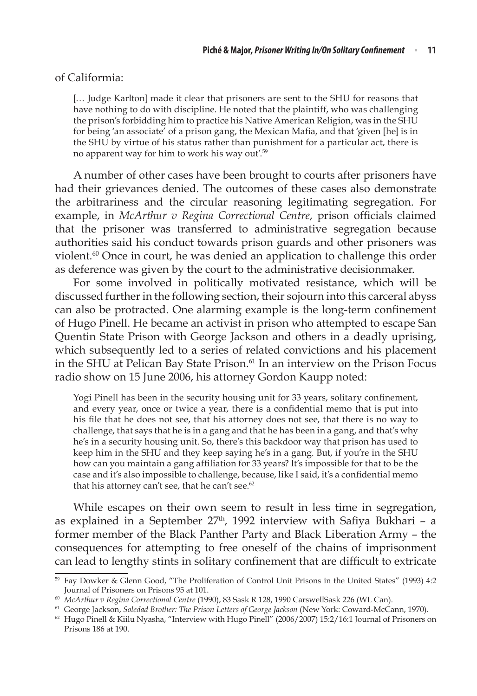#### of Califormia:

[… Judge Karlton] made it clear that prisoners are sent to the SHU for reasons that have nothing to do with discipline. He noted that the plaintiff, who was challenging the prison's forbidding him to practice his Native American Religion, was in the SHU for being 'an associate' of a prison gang, the Mexican Mafia, and that 'given [he] is in the SHU by virtue of his status rather than punishment for a particular act, there is no apparent way for him to work his way out'.59

A number of other cases have been brought to courts after prisoners have had their grievances denied. The outcomes of these cases also demonstrate the arbitrariness and the circular reasoning legitimating segregation. For example, in *McArthur v Regina Correctional Centre*, prison officials claimed that the prisoner was transferred to administrative segregation because authorities said his conduct towards prison guards and other prisoners was violent.60 Once in court, he was denied an application to challenge this order as deference was given by the court to the administrative decisionmaker.

For some involved in politically motivated resistance, which will be discussed further in the following section, their sojourn into this carceral abyss can also be protracted. One alarming example is the long-term confinement of Hugo Pinell. He became an activist in prison who attempted to escape San Quentin State Prison with George Jackson and others in a deadly uprising, which subsequently led to a series of related convictions and his placement in the SHU at Pelican Bay State Prison.<sup>61</sup> In an interview on the Prison Focus radio show on 15 June 2006, his attorney Gordon Kaupp noted:

Yogi Pinell has been in the security housing unit for 33 years, solitary confinement, and every year, once or twice a year, there is a confidential memo that is put into his file that he does not see, that his attorney does not see, that there is no way to challenge, that says that he is in a gang and that he has been in a gang, and that's why he's in a security housing unit. So, there's this backdoor way that prison has used to keep him in the SHU and they keep saying he's in a gang. But, if you're in the SHU how can you maintain a gang affiliation for 33 years? It's impossible for that to be the case and it's also impossible to challenge, because, like I said, it's a confidential memo that his attorney can't see, that he can't see.<sup>62</sup>

While escapes on their own seem to result in less time in segregation, as explained in a September  $27<sup>th</sup>$ , 1992 interview with Safiya Bukhari – a former member of the Black Panther Party and Black Liberation Army – the consequences for attempting to free oneself of the chains of imprisonment can lead to lengthy stints in solitary confinement that are difficult to extricate

<sup>59</sup> Fay Dowker & Glenn Good, "The Proliferation of Control Unit Prisons in the United States" (1993) 4:2 Journal of Prisoners on Prisons 95 at 101.

<sup>60</sup> *McArthur v Regina Correctional Centre* (1990), 83 Sask R 128, 1990 CarswellSask 226 (WL Can).

<sup>61</sup> George Jackson, *Soledad Brother: The Prison Letters of George Jackson* (New York: Coward-McCann, 1970).

 $62$  Hugo Pinell & Kiilu Nyasha, "Interview with Hugo Pinell" (2006/2007) 15:2/16:1 Journal of Prisoners on Prisons 186 at 190.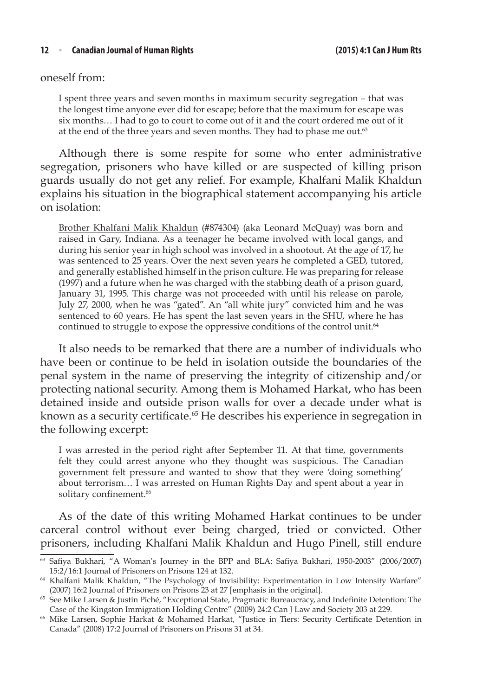oneself from:

I spent three years and seven months in maximum security segregation – that was the longest time anyone ever did for escape; before that the maximum for escape was six months… I had to go to court to come out of it and the court ordered me out of it at the end of the three years and seven months. They had to phase me out.<sup>63</sup>

Although there is some respite for some who enter administrative segregation, prisoners who have killed or are suspected of killing prison guards usually do not get any relief. For example, Khalfani Malik Khaldun explains his situation in the biographical statement accompanying his article on isolation:

Brother Khalfani Malik Khaldun (#874304) (aka Leonard McQuay) was born and raised in Gary, Indiana. As a teenager he became involved with local gangs, and during his senior year in high school was involved in a shootout. At the age of 17, he was sentenced to 25 years. Over the next seven years he completed a GED, tutored, and generally established himself in the prison culture. He was preparing for release (1997) and a future when he was charged with the stabbing death of a prison guard, January 31, 1995. This charge was not proceeded with until his release on parole, July 27, 2000, when he was "gated". An "all white jury" convicted him and he was sentenced to 60 years. He has spent the last seven years in the SHU, where he has continued to struggle to expose the oppressive conditions of the control unit.<sup>64</sup>

It also needs to be remarked that there are a number of individuals who have been or continue to be held in isolation outside the boundaries of the penal system in the name of preserving the integrity of citizenship and/or protecting national security. Among them is Mohamed Harkat, who has been detained inside and outside prison walls for over a decade under what is known as a security certificate.<sup>65</sup> He describes his experience in segregation in the following excerpt:

I was arrested in the period right after September 11. At that time, governments felt they could arrest anyone who they thought was suspicious. The Canadian government felt pressure and wanted to show that they were 'doing something' about terrorism… I was arrested on Human Rights Day and spent about a year in solitary confinement.<sup>66</sup>

As of the date of this writing Mohamed Harkat continues to be under carceral control without ever being charged, tried or convicted. Other prisoners, including Khalfani Malik Khaldun and Hugo Pinell, still endure

<sup>63</sup> Safiya Bukhari, "A Woman's Journey in the BPP and BLA: Safiya Bukhari, 1950-2003" (2006/2007) 15:2/16:1 Journal of Prisoners on Prisons 124 at 132.

<sup>&</sup>lt;sup>64</sup> Khalfani Malik Khaldun, "The Psychology of Invisibility: Experimentation in Low Intensity Warfare" (2007) 16:2 Journal of Prisoners on Prisons 23 at 27 [emphasis in the original].

<sup>65</sup> See Mike Larsen & Justin Piché, "Exceptional State, Pragmatic Bureaucracy, and Indefinite Detention: The Case of the Kingston Immigration Holding Centre" (2009) 24:2 Can J Law and Society 203 at 229.

<sup>66</sup> Mike Larsen, Sophie Harkat & Mohamed Harkat, "Justice in Tiers: Security Certificate Detention in Canada" (2008) 17:2 Journal of Prisoners on Prisons 31 at 34.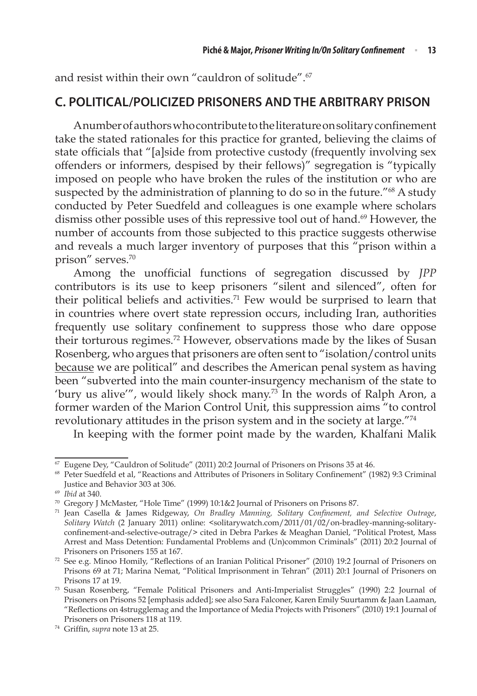and resist within their own "cauldron of solitude".67

### **C. POLITICAL/POLICIZED PRISONERS AND THE ARBITRARY PRISON**

A number of authors who contribute to the literature on solitary confinement take the stated rationales for this practice for granted, believing the claims of state officials that "[a]side from protective custody (frequently involving sex offenders or informers, despised by their fellows)" segregation is "typically imposed on people who have broken the rules of the institution or who are suspected by the administration of planning to do so in the future."<sup>68</sup> A study conducted by Peter Suedfeld and colleagues is one example where scholars dismiss other possible uses of this repressive tool out of hand.<sup>69</sup> However, the number of accounts from those subjected to this practice suggests otherwise and reveals a much larger inventory of purposes that this "prison within a prison" serves.70

Among the unofficial functions of segregation discussed by *JPP*  contributors is its use to keep prisoners "silent and silenced", often for their political beliefs and activities.<sup>71</sup> Few would be surprised to learn that in countries where overt state repression occurs, including Iran, authorities frequently use solitary confinement to suppress those who dare oppose their torturous regimes.72 However, observations made by the likes of Susan Rosenberg, who argues that prisoners are often sent to "isolation/control units because we are political" and describes the American penal system as having been "subverted into the main counter-insurgency mechanism of the state to 'bury us alive'", would likely shock many.73 In the words of Ralph Aron, a former warden of the Marion Control Unit, this suppression aims "to control revolutionary attitudes in the prison system and in the society at large."74

In keeping with the former point made by the warden, Khalfani Malik

<sup>67</sup> Eugene Dey, "Cauldron of Solitude" (2011) 20:2 Journal of Prisoners on Prisons 35 at 46.

<sup>68</sup> Peter Suedfeld et al, "Reactions and Attributes of Prisoners in Solitary Confinement" (1982) 9:3 Criminal Justice and Behavior 303 at 306.

<sup>69</sup> *Ibid* at 340.

<sup>70</sup> Gregory J McMaster, "Hole Time" (1999) 10:1&2 Journal of Prisoners on Prisons 87.

<sup>71</sup> Jean Casella & James Ridgeway, *On Bradley Manning, Solitary Confinement, and Selective Outrage*, *Solitary Watch* (2 January 2011) online: <solitarywatch.com/2011/01/02/on-bradley-manning-solitaryconfinement-and-selective-outrage/> cited in Debra Parkes & Meaghan Daniel, "Political Protest, Mass Arrest and Mass Detention: Fundamental Problems and (Un)common Criminals" (2011) 20:2 Journal of Prisoners on Prisoners 155 at 167.

<sup>72</sup> See e.g. Minoo Homily, "Reflections of an Iranian Political Prisoner" (2010) 19:2 Journal of Prisoners on Prisons 69 at 71; Marina Nemat, "Political Imprisonment in Tehran" (2011) 20:1 Journal of Prisoners on Prisons 17 at 19.

<sup>73</sup> Susan Rosenberg, "Female Political Prisoners and Anti-Imperialist Struggles" (1990) 2:2 Journal of Prisoners on Prisons 52 [emphasis added]; see also Sara Falconer, Karen Emily Suurtamm & Jaan Laaman, "Reflections on 4strugglemag and the Importance of Media Projects with Prisoners" (2010) 19:1 Journal of Prisoners on Prisoners 118 at 119.

<sup>74</sup> Griffin, *supra* note 13 at 25.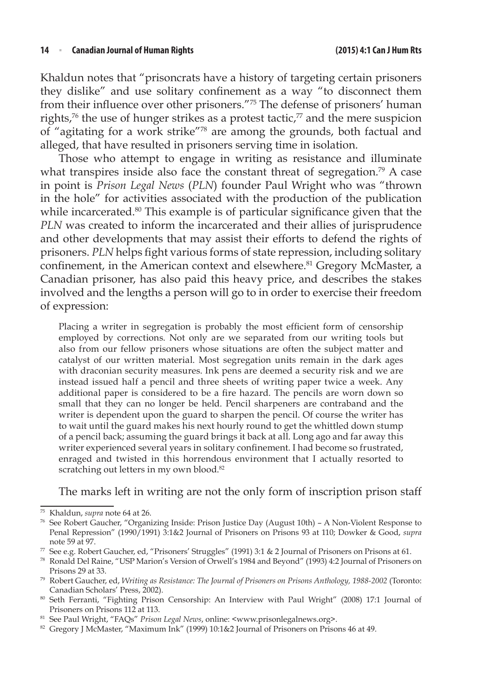Khaldun notes that "prisoncrats have a history of targeting certain prisoners they dislike" and use solitary confinement as a way "to disconnect them from their influence over other prisoners."75 The defense of prisoners' human rights,<sup>76</sup> the use of hunger strikes as a protest tactic,<sup>77</sup> and the mere suspicion of "agitating for a work strike"78 are among the grounds, both factual and alleged, that have resulted in prisoners serving time in isolation.

Those who attempt to engage in writing as resistance and illuminate what transpires inside also face the constant threat of segregation.<sup>79</sup> A case in point is *Prison Legal News* (*PLN*) founder Paul Wright who was "thrown in the hole" for activities associated with the production of the publication while incarcerated.<sup>80</sup> This example is of particular significance given that the *PLN* was created to inform the incarcerated and their allies of jurisprudence and other developments that may assist their efforts to defend the rights of prisoners. *PLN* helps fight various forms of state repression, including solitary confinement, in the American context and elsewhere.<sup>81</sup> Gregory McMaster, a Canadian prisoner, has also paid this heavy price, and describes the stakes involved and the lengths a person will go to in order to exercise their freedom of expression:

Placing a writer in segregation is probably the most efficient form of censorship employed by corrections. Not only are we separated from our writing tools but also from our fellow prisoners whose situations are often the subject matter and catalyst of our written material. Most segregation units remain in the dark ages with draconian security measures. Ink pens are deemed a security risk and we are instead issued half a pencil and three sheets of writing paper twice a week. Any additional paper is considered to be a fire hazard. The pencils are worn down so small that they can no longer be held. Pencil sharpeners are contraband and the writer is dependent upon the guard to sharpen the pencil. Of course the writer has to wait until the guard makes his next hourly round to get the whittled down stump of a pencil back; assuming the guard brings it back at all. Long ago and far away this writer experienced several years in solitary confinement. I had become so frustrated, enraged and twisted in this horrendous environment that I actually resorted to scratching out letters in my own blood.<sup>82</sup>

The marks left in writing are not the only form of inscription prison staff

<sup>75</sup> Khaldun, *supra* note 64 at 26.

<sup>76</sup> See Robert Gaucher, "Organizing Inside: Prison Justice Day (August 10th) – A Non-Violent Response to Penal Repression" (1990/1991) 3:1&2 Journal of Prisoners on Prisons 93 at 110; Dowker & Good, *supra* note 59 at 97.

<sup>77</sup> See e.g. Robert Gaucher, ed, "Prisoners' Struggles" (1991) 3:1 & 2 Journal of Prisoners on Prisons at 61.

<sup>78</sup> Ronald Del Raine, "USP Marion's Version of Orwell's 1984 and Beyond" (1993) 4:2 Journal of Prisoners on Prisons 29 at 33.

<sup>79</sup> Robert Gaucher, ed, *Writing as Resistance: The Journal of Prisoners on Prisons Anthology, 1988-2002* (Toronto: Canadian Scholars' Press, 2002).<br><sup>80</sup> Seth Ferranti, "Fighting Prison Censorship: An Interview with Paul Wright" (2008) 17:1 Journal of

Prisoners on Prisons 112 at 113.

<sup>81</sup> See Paul Wright, "FAQs" *Prison Legal News*, online: <www.prisonlegalnews.org>.

<sup>82</sup> Gregory J McMaster, "Maximum Ink" (1999) 10:1&2 Journal of Prisoners on Prisons 46 at 49.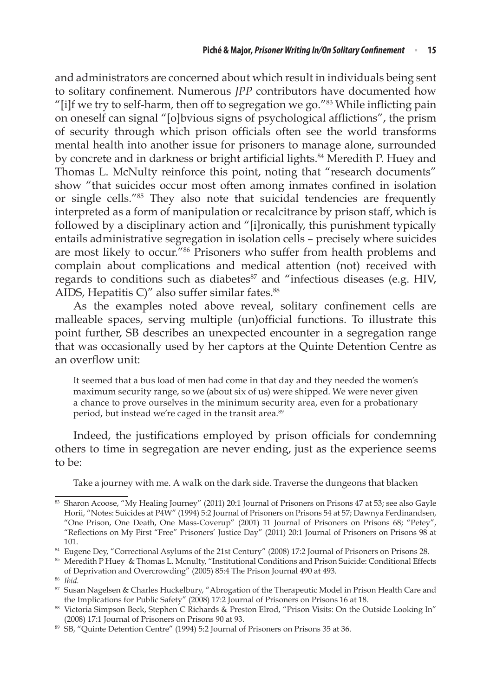and administrators are concerned about which result in individuals being sent to solitary confinement. Numerous *JPP* contributors have documented how "[i]f we try to self-harm, then off to segregation we go."83 While inflicting pain on oneself can signal "[o]bvious signs of psychological afflictions", the prism of security through which prison officials often see the world transforms mental health into another issue for prisoners to manage alone, surrounded by concrete and in darkness or bright artificial lights.<sup>84</sup> Meredith P. Huey and Thomas L. McNulty reinforce this point, noting that "research documents" show "that suicides occur most often among inmates confined in isolation or single cells."85 They also note that suicidal tendencies are frequently interpreted as a form of manipulation or recalcitrance by prison staff, which is followed by a disciplinary action and "[i]ronically, this punishment typically entails administrative segregation in isolation cells – precisely where suicides are most likely to occur."86 Prisoners who suffer from health problems and complain about complications and medical attention (not) received with regards to conditions such as diabetes<sup>87</sup> and "infectious diseases (e.g. HIV, AIDS, Hepatitis C)" also suffer similar fates. $88$ 

As the examples noted above reveal, solitary confinement cells are malleable spaces, serving multiple (un)official functions. To illustrate this point further, SB describes an unexpected encounter in a segregation range that was occasionally used by her captors at the Quinte Detention Centre as an overflow unit:

It seemed that a bus load of men had come in that day and they needed the women's maximum security range, so we (about six of us) were shipped. We were never given a chance to prove ourselves in the minimum security area, even for a probationary period, but instead we're caged in the transit area.<sup>89</sup>

Indeed, the justifications employed by prison officials for condemning others to time in segregation are never ending, just as the experience seems to be:

Take a journey with me. A walk on the dark side. Traverse the dungeons that blacken

<sup>83</sup> Sharon Acoose, "My Healing Journey" (2011) 20:1 Journal of Prisoners on Prisons 47 at 53; see also Gayle Horii, "Notes: Suicides at P4W" (1994) 5:2 Journal of Prisoners on Prisons 54 at 57; Dawnya Ferdinandsen, "One Prison, One Death, One Mass-Coverup" (2001) 11 Journal of Prisoners on Prisons 68; "Petey", "Reflections on My First "Free" Prisoners' Justice Day" (2011) 20:1 Journal of Prisoners on Prisons 98 at 101.

<sup>84</sup> Eugene Dey, "Correctional Asylums of the 21st Century" (2008) 17:2 Journal of Prisoners on Prisons 28.

<sup>85</sup> Meredith P Huey & Thomas L. Mcnulty, "Institutional Conditions and Prison Suicide: Conditional Effects of Deprivation and Overcrowding" (2005) 85:4 The Prison Journal 490 at 493.

<sup>86</sup> *Ibid*.

<sup>87</sup> Susan Nagelsen & Charles Huckelbury, "Abrogation of the Therapeutic Model in Prison Health Care and the Implications for Public Safety" (2008) 17:2 Journal of Prisoners on Prisons 16 at 18.

<sup>88</sup> Victoria Simpson Beck, Stephen C Richards & Preston Elrod, "Prison Visits: On the Outside Looking In" (2008) 17:1 Journal of Prisoners on Prisons 90 at 93.

<sup>89</sup> SB, "Quinte Detention Centre" (1994) 5:2 Journal of Prisoners on Prisons 35 at 36.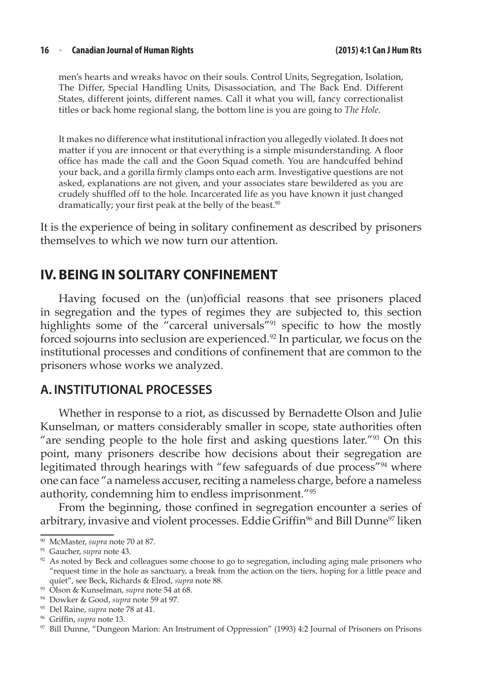men's hearts and wreaks havoc on their souls. Control Units, Segregation, Isolation, The Differ, Special Handling Units, Disassociation, and The Back End. Different States, different joints, different names. Call it what you will, fancy correctionalist titles or back home regional slang, the bottom line is you are going to *The Hole*.

It makes no difference what institutional infraction you allegedly violated. It does not matter if you are innocent or that everything is a simple misunderstanding. A floor office has made the call and the Goon Squad cometh. You are handcuffed behind your back, and a gorilla firmly clamps onto each arm. Investigative questions are not asked, explanations are not given, and your associates stare bewildered as you are crudely shuffled off to the hole. Incarcerated life as you have known it just changed dramatically; your first peak at the belly of the beast.<sup>90</sup>

It is the experience of being in solitary confinement as described by prisoners themselves to which we now turn our attention.

# **IV. BEING IN SOLITARY CONFINEMENT**

Having focused on the (un)official reasons that see prisoners placed in segregation and the types of regimes they are subjected to, this section highlights some of the "carceral universals"<sup>91</sup> specific to how the mostly forced sojourns into seclusion are experienced.<sup>92</sup> In particular, we focus on the institutional processes and conditions of confinement that are common to the prisoners whose works we analyzed.

### **A. INSTITUTIONAL PROCESSES**

Whether in response to a riot, as discussed by Bernadette Olson and Julie Kunselman, or matters considerably smaller in scope, state authorities often "are sending people to the hole first and asking questions later."<sup>93</sup> On this point, many prisoners describe how decisions about their segregation are legitimated through hearings with "few safeguards of due process"<sup>94</sup> where one can face "a nameless accuser, reciting a nameless charge, before a nameless authority, condemning him to endless imprisonment."95

From the beginning, those confined in segregation encounter a series of arbitrary, invasive and violent processes. Eddie Griffin<sup>96</sup> and Bill Dunne<sup>97</sup> liken

<sup>90</sup> McMaster, *supra* note 70 at 87.

<sup>91</sup> Gaucher, *supra* note 43.

 $92$  As noted by Beck and colleagues some choose to go to segregation, including aging male prisoners who "request time in the hole as sanctuary, a break from the action on the tiers, hoping for a little peace and quiet", see Beck, Richards & Elrod, *supra* note 88.

<sup>93</sup> Olson & Kunselman, *supra* note 54 at 68.

<sup>94</sup> Dowker & Good, *supra* note 59 at 97.

<sup>95</sup> Del Raine, *supra* note 78 at 41.

<sup>96</sup> Griffin, *supra* note 13.

<sup>97</sup> Bill Dunne, "Dungeon Marion: An Instrument of Oppression" (1993) 4:2 Journal of Prisoners on Prisons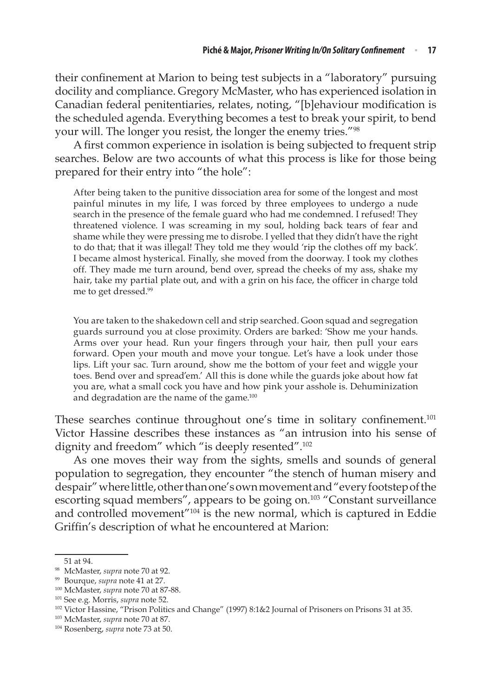their confinement at Marion to being test subjects in a "laboratory" pursuing docility and compliance. Gregory McMaster, who has experienced isolation in Canadian federal penitentiaries, relates, noting, "[b]ehaviour modification is the scheduled agenda. Everything becomes a test to break your spirit, to bend your will. The longer you resist, the longer the enemy tries."98

A first common experience in isolation is being subjected to frequent strip searches. Below are two accounts of what this process is like for those being prepared for their entry into "the hole":

After being taken to the punitive dissociation area for some of the longest and most painful minutes in my life, I was forced by three employees to undergo a nude search in the presence of the female guard who had me condemned. I refused! They threatened violence. I was screaming in my soul, holding back tears of fear and shame while they were pressing me to disrobe. I yelled that they didn't have the right to do that; that it was illegal! They told me they would 'rip the clothes off my back'. I became almost hysterical. Finally, she moved from the doorway. I took my clothes off. They made me turn around, bend over, spread the cheeks of my ass, shake my hair, take my partial plate out, and with a grin on his face, the officer in charge told me to get dressed.99

You are taken to the shakedown cell and strip searched. Goon squad and segregation guards surround you at close proximity. Orders are barked: 'Show me your hands. Arms over your head. Run your fingers through your hair, then pull your ears forward. Open your mouth and move your tongue. Let's have a look under those lips. Lift your sac. Turn around, show me the bottom of your feet and wiggle your toes. Bend over and spread'em.' All this is done while the guards joke about how fat you are, what a small cock you have and how pink your asshole is. Dehuminization and degradation are the name of the game.<sup>100</sup>

These searches continue throughout one's time in solitary confinement.<sup>101</sup> Victor Hassine describes these instances as "an intrusion into his sense of dignity and freedom" which "is deeply resented".<sup>102</sup>

As one moves their way from the sights, smells and sounds of general population to segregation, they encounter "the stench of human misery and despair" where little, other than one's own movement and "every footstep of the escorting squad members", appears to be going on.<sup>103</sup> "Constant surveillance and controlled movement"104 is the new normal, which is captured in Eddie Griffin's description of what he encountered at Marion:

<sup>51</sup> at 94.

<sup>98</sup> McMaster, *supra* note 70 at 92.

<sup>99</sup> Bourque, *supra* note 41 at 27.

<sup>100</sup> McMaster, *supra* note 70 at 87-88.

<sup>101</sup> See e.g. Morris, *supra* note 52.

<sup>102</sup> Victor Hassine, "Prison Politics and Change" (1997) 8:1&2 Journal of Prisoners on Prisons 31 at 35.

<sup>103</sup> McMaster, *supra* note 70 at 87.

<sup>104</sup> Rosenberg, *supra* note 73 at 50.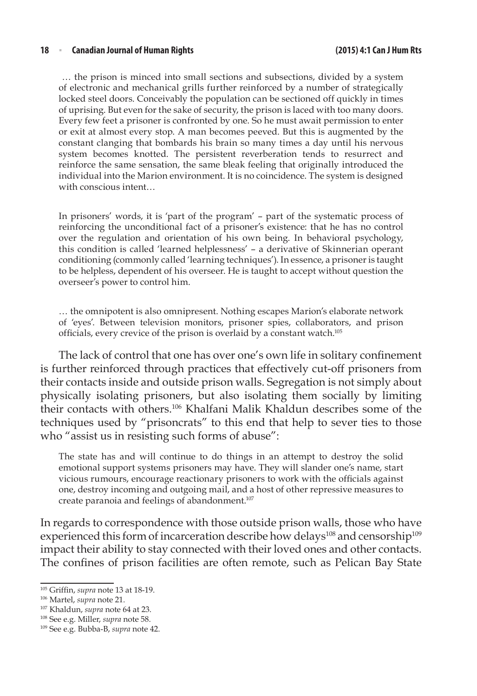… the prison is minced into small sections and subsections, divided by a system of electronic and mechanical grills further reinforced by a number of strategically locked steel doors. Conceivably the population can be sectioned off quickly in times of uprising. But even for the sake of security, the prison is laced with too many doors. Every few feet a prisoner is confronted by one. So he must await permission to enter or exit at almost every stop. A man becomes peeved. But this is augmented by the constant clanging that bombards his brain so many times a day until his nervous system becomes knotted. The persistent reverberation tends to resurrect and reinforce the same sensation, the same bleak feeling that originally introduced the individual into the Marion environment. It is no coincidence. The system is designed with conscious intent…

In prisoners' words, it is 'part of the program' – part of the systematic process of reinforcing the unconditional fact of a prisoner's existence: that he has no control over the regulation and orientation of his own being. In behavioral psychology, this condition is called 'learned helplessness' – a derivative of Skinnerian operant conditioning (commonly called 'learning techniques'). In essence, a prisoner is taught to be helpless, dependent of his overseer. He is taught to accept without question the overseer's power to control him.

… the omnipotent is also omnipresent. Nothing escapes Marion's elaborate network of 'eyes'. Between television monitors, prisoner spies, collaborators, and prison officials, every crevice of the prison is overlaid by a constant watch.<sup>105</sup>

The lack of control that one has over one's own life in solitary confinement is further reinforced through practices that effectively cut-off prisoners from their contacts inside and outside prison walls. Segregation is not simply about physically isolating prisoners, but also isolating them socially by limiting their contacts with others.106 Khalfani Malik Khaldun describes some of the techniques used by "prisoncrats" to this end that help to sever ties to those who "assist us in resisting such forms of abuse":

The state has and will continue to do things in an attempt to destroy the solid emotional support systems prisoners may have. They will slander one's name, start vicious rumours, encourage reactionary prisoners to work with the officials against one, destroy incoming and outgoing mail, and a host of other repressive measures to create paranoia and feelings of abandonment.<sup>107</sup>

In regards to correspondence with those outside prison walls, those who have experienced this form of incarceration describe how delays<sup>108</sup> and censorship<sup>109</sup> impact their ability to stay connected with their loved ones and other contacts. The confines of prison facilities are often remote, such as Pelican Bay State

<sup>105</sup> Griffin, *supra* note 13 at 18-19.

<sup>106</sup> Martel, *supra* note 21.

<sup>107</sup> Khaldun, *supra* note 64 at 23.

<sup>108</sup> See e.g. Miller, *supra* note 58.

<sup>109</sup> See e.g. Bubba-B, *supra* note 42.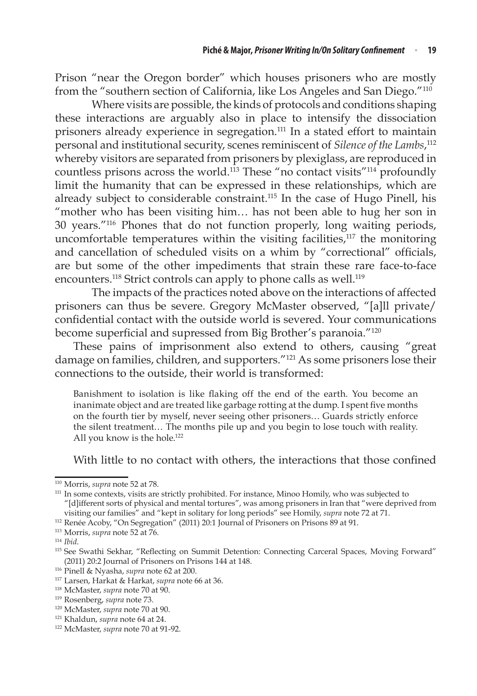Prison "near the Oregon border" which houses prisoners who are mostly from the "southern section of California, like Los Angeles and San Diego."110

Where visits are possible, the kinds of protocols and conditions shaping these interactions are arguably also in place to intensify the dissociation prisoners already experience in segregation.<sup>111</sup> In a stated effort to maintain personal and institutional security, scenes reminiscent of *Silence of the Lambs*, 112 whereby visitors are separated from prisoners by plexiglass, are reproduced in countless prisons across the world.<sup>113</sup> These "no contact visits"<sup>114</sup> profoundly limit the humanity that can be expressed in these relationships, which are already subject to considerable constraint.115 In the case of Hugo Pinell, his "mother who has been visiting him… has not been able to hug her son in 30 years."116 Phones that do not function properly, long waiting periods, uncomfortable temperatures within the visiting facilities, $117$  the monitoring and cancellation of scheduled visits on a whim by "correctional" officials, are but some of the other impediments that strain these rare face-to-face encounters.<sup>118</sup> Strict controls can apply to phone calls as well.<sup>119</sup>

The impacts of the practices noted above on the interactions of affected prisoners can thus be severe. Gregory McMaster observed, "[a]ll private/ confidential contact with the outside world is severed. Your communications become superficial and supressed from Big Brother's paranoia."<sup>120</sup>

These pains of imprisonment also extend to others, causing "great damage on families, children, and supporters."121 As some prisoners lose their connections to the outside, their world is transformed:

Banishment to isolation is like flaking off the end of the earth. You become an inanimate object and are treated like garbage rotting at the dump. I spent five months on the fourth tier by myself, never seeing other prisoners… Guards strictly enforce the silent treatment… The months pile up and you begin to lose touch with reality. All you know is the hole.<sup>122</sup>

With little to no contact with others, the interactions that those confined

<sup>&</sup>lt;sup>110</sup> Morris, *supra* note 52 at 78.<br><sup>111</sup> In some contexts, visits are strictly prohibited. For instance, Minoo Homily, who was subjected to "[d]ifferent sorts of physical and mental tortures", was among prisoners in Iran that "were deprived from visiting our families" and "kept in solitary for long periods" see Homily, *supra* note 72 at 71.

<sup>112</sup> Renée Acoby, "On Segregation" (2011) 20:1 Journal of Prisoners on Prisons 89 at 91.

<sup>113</sup> Morris, *supra* note 52 at 76.

<sup>114</sup> *Ibid*.

<sup>&</sup>lt;sup>115</sup> See Swathi Sekhar, "Reflecting on Summit Detention: Connecting Carceral Spaces, Moving Forward" (2011) 20:2 Journal of Prisoners on Prisons 144 at 148.

<sup>116</sup> Pinell & Nyasha, *supra* note 62 at 200.

<sup>117</sup> Larsen, Harkat & Harkat, *supra* note 66 at 36.

<sup>118</sup> McMaster, *supra* note 70 at 90.

<sup>119</sup> Rosenberg, *supra* note 73.

<sup>120</sup> McMaster, *supra* note 70 at 90.

<sup>121</sup> Khaldun, *supra* note 64 at 24.

<sup>122</sup> McMaster, *supra* note 70 at 91-92.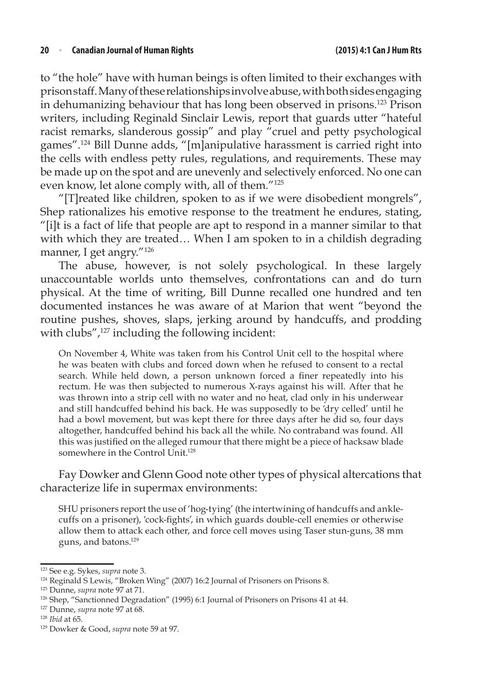to "the hole" have with human beings is often limited to their exchanges with prison staff. Many of these relationships involve abuse, with both sides engaging in dehumanizing behaviour that has long been observed in prisons.123 Prison writers, including Reginald Sinclair Lewis, report that guards utter "hateful racist remarks, slanderous gossip" and play "cruel and petty psychological games".124 Bill Dunne adds, "[m]anipulative harassment is carried right into the cells with endless petty rules, regulations, and requirements. These may be made up on the spot and are unevenly and selectively enforced. No one can even know, let alone comply with, all of them."125

"[T]reated like children, spoken to as if we were disobedient mongrels", Shep rationalizes his emotive response to the treatment he endures, stating, "[i]t is a fact of life that people are apt to respond in a manner similar to that with which they are treated... When I am spoken to in a childish degrading manner, I get angry."126

The abuse, however, is not solely psychological. In these largely unaccountable worlds unto themselves, confrontations can and do turn physical. At the time of writing, Bill Dunne recalled one hundred and ten documented instances he was aware of at Marion that went "beyond the routine pushes, shoves, slaps, jerking around by handcuffs, and prodding with clubs",<sup>127</sup> including the following incident:

On November 4, White was taken from his Control Unit cell to the hospital where he was beaten with clubs and forced down when he refused to consent to a rectal search. While held down, a person unknown forced a finer repeatedly into his rectum. He was then subjected to numerous X-rays against his will. After that he was thrown into a strip cell with no water and no heat, clad only in his underwear and still handcuffed behind his back. He was supposedly to be 'dry celled' until he had a bowl movement, but was kept there for three days after he did so, four days altogether, handcuffed behind his back all the while. No contraband was found. All this was justified on the alleged rumour that there might be a piece of hacksaw blade somewhere in the Control Unit.<sup>128</sup>

Fay Dowker and Glenn Good note other types of physical altercations that characterize life in supermax environments:

SHU prisoners report the use of 'hog-tying' (the intertwining of handcuffs and anklecuffs on a prisoner), 'cock-fights', in which guards double-cell enemies or otherwise allow them to attack each other, and force cell moves using Taser stun-guns, 38 mm guns, and batons.129

<sup>123</sup> See e.g. Sykes, *supra* note 3.

<sup>124</sup> Reginald S Lewis, "Broken Wing" (2007) 16:2 Journal of Prisoners on Prisons 8.

<sup>125</sup> Dunne, *supra* note 97 at 71.

<sup>126</sup> Shep, "Sanctionned Degradation" (1995) 6:1 Journal of Prisoners on Prisons 41 at 44.

<sup>127</sup> Dunne, *supra* note 97 at 68.

<sup>128</sup> *Ibid* at 65.

<sup>129</sup> Dowker & Good, *supra* note 59 at 97.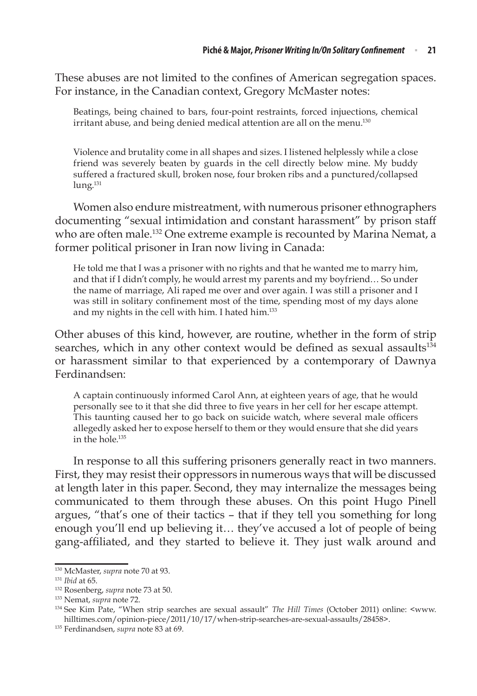These abuses are not limited to the confines of American segregation spaces. For instance, in the Canadian context, Gregory McMaster notes:

Beatings, being chained to bars, four-point restraints, forced injuections, chemical irritant abuse, and being denied medical attention are all on the menu.<sup>130</sup>

Violence and brutality come in all shapes and sizes. I listened helplessly while a close friend was severely beaten by guards in the cell directly below mine. My buddy suffered a fractured skull, broken nose, four broken ribs and a punctured/collapsed lung.<sup>131</sup>

Women also endure mistreatment, with numerous prisoner ethnographers documenting "sexual intimidation and constant harassment" by prison staff who are often male.<sup>132</sup> One extreme example is recounted by Marina Nemat, a former political prisoner in Iran now living in Canada:

He told me that I was a prisoner with no rights and that he wanted me to marry him, and that if I didn't comply, he would arrest my parents and my boyfriend… So under the name of marriage, Ali raped me over and over again. I was still a prisoner and I was still in solitary confinement most of the time, spending most of my days alone and my nights in the cell with him. I hated him.<sup>133</sup>

Other abuses of this kind, however, are routine, whether in the form of strip searches, which in any other context would be defined as sexual assaults<sup>134</sup> or harassment similar to that experienced by a contemporary of Dawnya Ferdinandsen:

A captain continuously informed Carol Ann, at eighteen years of age, that he would personally see to it that she did three to five years in her cell for her escape attempt. This taunting caused her to go back on suicide watch, where several male officers allegedly asked her to expose herself to them or they would ensure that she did years in the hole.<sup>135</sup>

In response to all this suffering prisoners generally react in two manners. First, they may resist their oppressors in numerous ways that will be discussed at length later in this paper. Second, they may internalize the messages being communicated to them through these abuses. On this point Hugo Pinell argues, "that's one of their tactics – that if they tell you something for long enough you'll end up believing it… they've accused a lot of people of being gang-affiliated, and they started to believe it. They just walk around and

<sup>130</sup> McMaster, *supra* note 70 at 93.

<sup>131</sup> *Ibid* at 65.

<sup>132</sup> Rosenberg, *supra* note 73 at 50.

<sup>133</sup> Nemat, *supra* note 72.

<sup>134</sup> See Kim Pate, "When strip searches are sexual assault" *The Hill Times* (October 2011) online: <www. hilltimes.com/opinion-piece/2011/10/17/when-strip-searches-are-sexual-assaults/28458>.

<sup>135</sup> Ferdinandsen, *supra* note 83 at 69.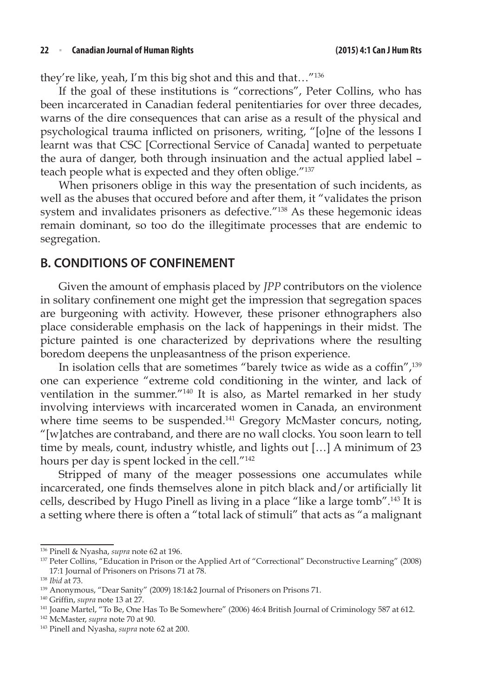they're like, yeah, I'm this big shot and this and that…"136

If the goal of these institutions is "corrections", Peter Collins, who has been incarcerated in Canadian federal penitentiaries for over three decades, warns of the dire consequences that can arise as a result of the physical and psychological trauma inflicted on prisoners, writing, "[o]ne of the lessons I learnt was that CSC [Correctional Service of Canada] wanted to perpetuate the aura of danger, both through insinuation and the actual applied label – teach people what is expected and they often oblige."137

When prisoners oblige in this way the presentation of such incidents, as well as the abuses that occured before and after them, it "validates the prison system and invalidates prisoners as defective."138 As these hegemonic ideas remain dominant, so too do the illegitimate processes that are endemic to segregation.

### **B. CONDITIONS OF CONFINEMENT**

Given the amount of emphasis placed by *JPP* contributors on the violence in solitary confinement one might get the impression that segregation spaces are burgeoning with activity. However, these prisoner ethnographers also place considerable emphasis on the lack of happenings in their midst. The picture painted is one characterized by deprivations where the resulting boredom deepens the unpleasantness of the prison experience.

In isolation cells that are sometimes "barely twice as wide as a coffin",<sup>139</sup> one can experience "extreme cold conditioning in the winter, and lack of ventilation in the summer."140 It is also, as Martel remarked in her study involving interviews with incarcerated women in Canada, an environment where time seems to be suspended.<sup>141</sup> Gregory McMaster concurs, noting, "[w]atches are contraband, and there are no wall clocks. You soon learn to tell time by meals, count, industry whistle, and lights out […] A minimum of 23 hours per day is spent locked in the cell."142

Stripped of many of the meager possessions one accumulates while incarcerated, one finds themselves alone in pitch black and/or artificially lit cells, described by Hugo Pinell as living in a place "like a large tomb".143 It is a setting where there is often a "total lack of stimuli" that acts as "a malignant

<sup>136</sup> Pinell & Nyasha, *supra* note 62 at 196.

<sup>137</sup> Peter Collins, "Education in Prison or the Applied Art of "Correctional" Deconstructive Learning" (2008) 17:1 Journal of Prisoners on Prisons 71 at 78.

<sup>138</sup> *Ibid* at 73.

<sup>139</sup> Anonymous, "Dear Sanity" (2009) 18:1&2 Journal of Prisoners on Prisons 71.

<sup>140</sup> Griffin, *supra* note 13 at 27.

<sup>141</sup> Joane Martel, "To Be, One Has To Be Somewhere" (2006) 46:4 British Journal of Criminology 587 at 612.

<sup>142</sup> McMaster, *supra* note 70 at 90.

<sup>143</sup> Pinell and Nyasha, *supra* note 62 at 200.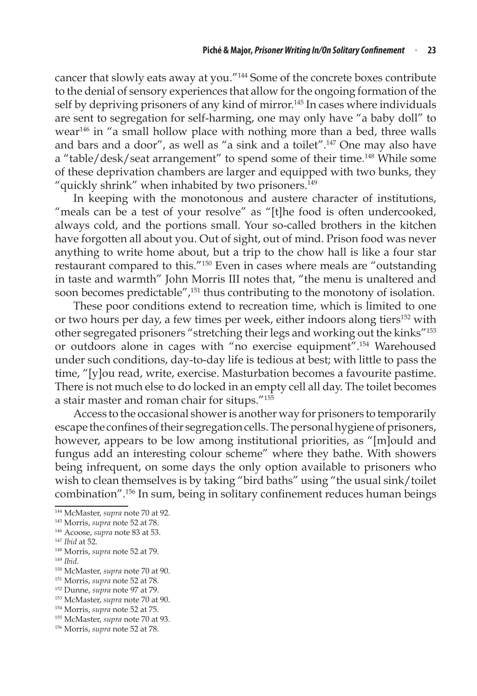cancer that slowly eats away at you."144 Some of the concrete boxes contribute to the denial of sensory experiences that allow for the ongoing formation of the self by depriving prisoners of any kind of mirror.<sup>145</sup> In cases where individuals are sent to segregation for self-harming, one may only have "a baby doll" to wear146 in "a small hollow place with nothing more than a bed, three walls and bars and a door", as well as "a sink and a toilet".147 One may also have a "table/desk/seat arrangement" to spend some of their time.148 While some of these deprivation chambers are larger and equipped with two bunks, they "quickly shrink" when inhabited by two prisoners.<sup>149</sup>

In keeping with the monotonous and austere character of institutions, "meals can be a test of your resolve" as "[t]he food is often undercooked, always cold, and the portions small. Your so-called brothers in the kitchen have forgotten all about you. Out of sight, out of mind. Prison food was never anything to write home about, but a trip to the chow hall is like a four star restaurant compared to this."150 Even in cases where meals are "outstanding in taste and warmth" John Morris III notes that, "the menu is unaltered and soon becomes predictable",<sup>151</sup> thus contributing to the monotony of isolation.

These poor conditions extend to recreation time, which is limited to one or two hours per day, a few times per week, either indoors along tiers<sup>152</sup> with other segregated prisoners "stretching their legs and working out the kinks"153 or outdoors alone in cages with "no exercise equipment".154 Warehoused under such conditions, day-to-day life is tedious at best; with little to pass the time, "[y]ou read, write, exercise. Masturbation becomes a favourite pastime. There is not much else to do locked in an empty cell all day. The toilet becomes a stair master and roman chair for situps."155

Access to the occasional shower is another way for prisoners to temporarily escape the confines of their segregation cells. The personal hygiene of prisoners, however, appears to be low among institutional priorities, as "[m]ould and fungus add an interesting colour scheme" where they bathe. With showers being infrequent, on some days the only option available to prisoners who wish to clean themselves is by taking "bird baths" using "the usual sink/toilet combination".156 In sum, being in solitary confinement reduces human beings

- <sup>148</sup> Morris, *supra* note 52 at 79.
- <sup>149</sup> *Ibid*.
- <sup>150</sup> McMaster, *supra* note 70 at 90.
- <sup>151</sup> Morris, *supra* note 52 at 78.
- <sup>152</sup> Dunne, *supra* note 97 at 79.
- <sup>153</sup> McMaster, *supra* note 70 at 90.
- <sup>154</sup> Morris, *supra* note 52 at 75.
- <sup>155</sup> McMaster, *supra* note 70 at 93.
- <sup>156</sup> Morris, *supra* note 52 at 78.

<sup>144</sup> McMaster, *supra* note 70 at 92.

<sup>145</sup> Morris, *supra* note 52 at 78.

<sup>146</sup> Acoose, *supra* note 83 at 53.

<sup>147</sup> *Ibid* at 52.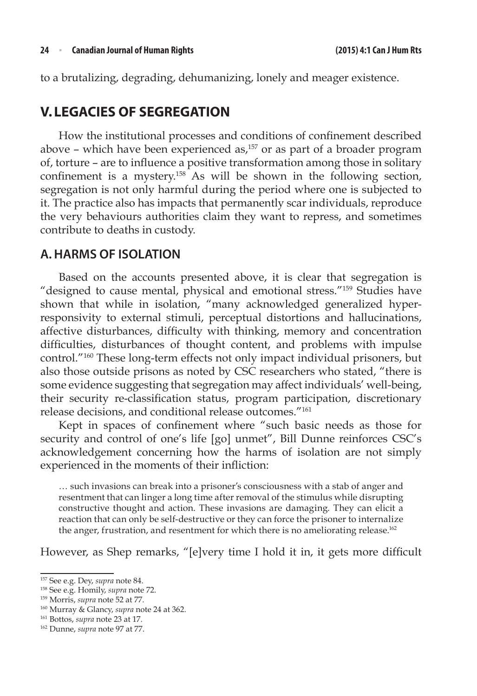to a brutalizing, degrading, dehumanizing, lonely and meager existence.

# **V. LEGACIES OF SEGREGATION**

How the institutional processes and conditions of confinement described above – which have been experienced as, $157$  or as part of a broader program of, torture – are to influence a positive transformation among those in solitary confinement is a mystery.<sup>158</sup> As will be shown in the following section, segregation is not only harmful during the period where one is subjected to it. The practice also has impacts that permanently scar individuals, reproduce the very behaviours authorities claim they want to repress, and sometimes contribute to deaths in custody.

### **A.HARMS OF ISOLATION**

Based on the accounts presented above, it is clear that segregation is "designed to cause mental, physical and emotional stress."159 Studies have shown that while in isolation, "many acknowledged generalized hyperresponsivity to external stimuli, perceptual distortions and hallucinations, affective disturbances, difficulty with thinking, memory and concentration difficulties, disturbances of thought content, and problems with impulse control."160 These long-term effects not only impact individual prisoners, but also those outside prisons as noted by CSC researchers who stated, "there is some evidence suggesting that segregation may affect individuals' well-being, their security re-classification status, program participation, discretionary release decisions, and conditional release outcomes."161

Kept in spaces of confinement where "such basic needs as those for security and control of one's life [go] unmet", Bill Dunne reinforces CSC's acknowledgement concerning how the harms of isolation are not simply experienced in the moments of their infliction:

… such invasions can break into a prisoner's consciousness with a stab of anger and resentment that can linger a long time after removal of the stimulus while disrupting constructive thought and action. These invasions are damaging. They can elicit a reaction that can only be self-destructive or they can force the prisoner to internalize the anger, frustration, and resentment for which there is no ameliorating release.<sup>162</sup>

However, as Shep remarks, "[e]very time I hold it in, it gets more difficult

<sup>157</sup> See e.g. Dey, *supra* note 84.

<sup>158</sup> See e.g. Homily, *supra* note 72.

<sup>159</sup> Morris, *supra* note 52 at 77.

<sup>160</sup> Murray & Glancy, *supra* note 24 at 362.

<sup>161</sup> Bottos, *supra* note 23 at 17.

<sup>162</sup> Dunne, *supra* note 97 at 77.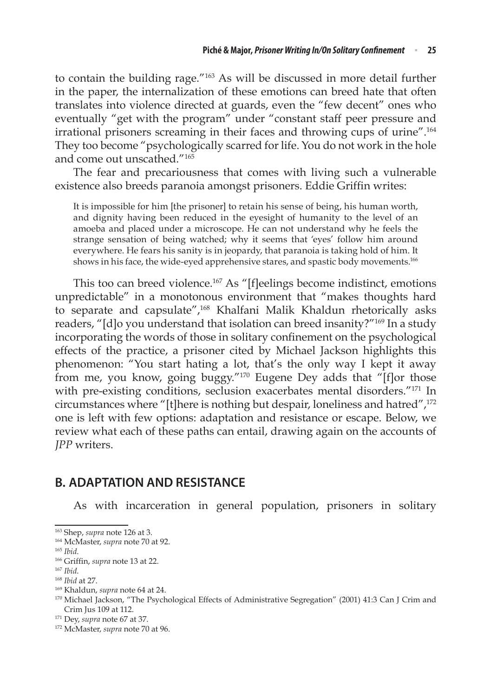to contain the building rage."163 As will be discussed in more detail further in the paper, the internalization of these emotions can breed hate that often translates into violence directed at guards, even the "few decent" ones who eventually "get with the program" under "constant staff peer pressure and irrational prisoners screaming in their faces and throwing cups of urine".164 They too become "psychologically scarred for life. You do not work in the hole and come out unscathed."165

The fear and precariousness that comes with living such a vulnerable existence also breeds paranoia amongst prisoners. Eddie Griffin writes:

It is impossible for him [the prisoner] to retain his sense of being, his human worth, and dignity having been reduced in the eyesight of humanity to the level of an amoeba and placed under a microscope. He can not understand why he feels the strange sensation of being watched; why it seems that 'eyes' follow him around everywhere. He fears his sanity is in jeopardy, that paranoia is taking hold of him. It shows in his face, the wide-eyed apprehensive stares, and spastic body movements.<sup>166</sup>

This too can breed violence.167 As "[f]eelings become indistinct, emotions unpredictable" in a monotonous environment that "makes thoughts hard to separate and capsulate",<sup>168</sup> Khalfani Malik Khaldun rhetorically asks readers, "[d]o you understand that isolation can breed insanity?"169 In a study incorporating the words of those in solitary confinement on the psychological effects of the practice, a prisoner cited by Michael Jackson highlights this phenomenon: "You start hating a lot, that's the only way I kept it away from me, you know, going buggy."170 Eugene Dey adds that "[f]or those with pre-existing conditions, seclusion exacerbates mental disorders."<sup>171</sup> In circumstances where "[t]here is nothing but despair, loneliness and hatred",172 one is left with few options: adaptation and resistance or escape. Below, we review what each of these paths can entail, drawing again on the accounts of *JPP* writers.

# **B. ADAPTATION AND RESISTANCE**

As with incarceration in general population, prisoners in solitary

<sup>166</sup> Griffin, *supra* note 13 at 22.

<sup>169</sup> Khaldun, *supra* note 64 at 24.

<sup>163</sup> Shep, *supra* note 126 at 3.

<sup>164</sup> McMaster, *supra* note 70 at 92.

<sup>165</sup> *Ibid*.

<sup>167</sup> *Ibid*.

<sup>168</sup> *Ibid* at 27.

<sup>170</sup> Michael Jackson, "The Psychological Effects of Administrative Segregation" (2001) 41:3 Can J Crim and Crim Jus 109 at 112.

<sup>171</sup> Dey, *supra* note 67 at 37. 172 McMaster, *supra* note 70 at 96.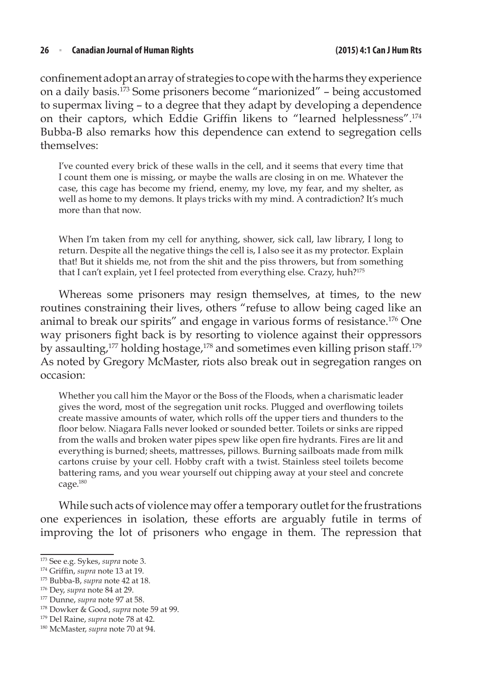confinement adopt an array of strategies to cope with the harms they experience on a daily basis.173 Some prisoners become "marionized" – being accustomed to supermax living – to a degree that they adapt by developing a dependence on their captors, which Eddie Griffin likens to "learned helplessness".<sup>174</sup> Bubba-B also remarks how this dependence can extend to segregation cells themselves:

I've counted every brick of these walls in the cell, and it seems that every time that I count them one is missing, or maybe the walls are closing in on me. Whatever the case, this cage has become my friend, enemy, my love, my fear, and my shelter, as well as home to my demons. It plays tricks with my mind. A contradiction? It's much more than that now.

When I'm taken from my cell for anything, shower, sick call, law library, I long to return. Despite all the negative things the cell is, I also see it as my protector. Explain that! But it shields me, not from the shit and the piss throwers, but from something that I can't explain, yet I feel protected from everything else. Crazy, huh?<sup>175</sup>

Whereas some prisoners may resign themselves, at times, to the new routines constraining their lives, others "refuse to allow being caged like an animal to break our spirits" and engage in various forms of resistance.176 One way prisoners fight back is by resorting to violence against their oppressors by assaulting,<sup>177</sup> holding hostage,<sup>178</sup> and sometimes even killing prison staff.<sup>179</sup> As noted by Gregory McMaster, riots also break out in segregation ranges on occasion:

Whether you call him the Mayor or the Boss of the Floods, when a charismatic leader gives the word, most of the segregation unit rocks. Plugged and overflowing toilets create massive amounts of water, which rolls off the upper tiers and thunders to the floor below. Niagara Falls never looked or sounded better. Toilets or sinks are ripped from the walls and broken water pipes spew like open fire hydrants. Fires are lit and everything is burned; sheets, mattresses, pillows. Burning sailboats made from milk cartons cruise by your cell. Hobby craft with a twist. Stainless steel toilets become battering rams, and you wear yourself out chipping away at your steel and concrete cage.180

While such acts of violence may offer a temporary outlet for the frustrations one experiences in isolation, these efforts are arguably futile in terms of improving the lot of prisoners who engage in them. The repression that

<sup>173</sup> See e.g. Sykes, *supra* note 3.

<sup>174</sup> Griffin, *supra* note 13 at 19.

<sup>175</sup> Bubba-B, *supra* note 42 at 18.

<sup>176</sup> Dey, *supra* note 84 at 29.

<sup>177</sup> Dunne, *supra* note 97 at 58.

<sup>178</sup> Dowker & Good, *supra* note 59 at 99.

<sup>179</sup> Del Raine, *supra* note 78 at 42.

<sup>180</sup> McMaster, *supra* note 70 at 94.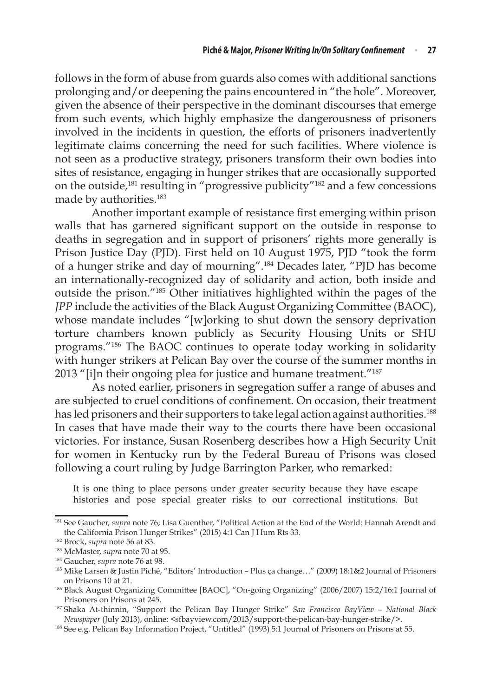follows in the form of abuse from guards also comes with additional sanctions prolonging and/or deepening the pains encountered in "the hole". Moreover, given the absence of their perspective in the dominant discourses that emerge from such events, which highly emphasize the dangerousness of prisoners involved in the incidents in question, the efforts of prisoners inadvertently legitimate claims concerning the need for such facilities. Where violence is not seen as a productive strategy, prisoners transform their own bodies into sites of resistance, engaging in hunger strikes that are occasionally supported on the outside,181 resulting in "progressive publicity"182 and a few concessions made by authorities.<sup>183</sup>

Another important example of resistance first emerging within prison walls that has garnered significant support on the outside in response to deaths in segregation and in support of prisoners' rights more generally is Prison Justice Day (PJD). First held on 10 August 1975, PJD "took the form of a hunger strike and day of mourning".184 Decades later, "PJD has become an internationally-recognized day of solidarity and action, both inside and outside the prison."185 Other initiatives highlighted within the pages of the *JPP* include the activities of the Black August Organizing Committee (BAOC), whose mandate includes "[w]orking to shut down the sensory deprivation torture chambers known publicly as Security Housing Units or SHU programs."186 The BAOC continues to operate today working in solidarity with hunger strikers at Pelican Bay over the course of the summer months in 2013 "[i]n their ongoing plea for justice and humane treatment."<sup>187</sup>

As noted earlier, prisoners in segregation suffer a range of abuses and are subjected to cruel conditions of confinement. On occasion, their treatment has led prisoners and their supporters to take legal action against authorities.<sup>188</sup> In cases that have made their way to the courts there have been occasional victories. For instance, Susan Rosenberg describes how a High Security Unit for women in Kentucky run by the Federal Bureau of Prisons was closed following a court ruling by Judge Barrington Parker, who remarked:

It is one thing to place persons under greater security because they have escape histories and pose special greater risks to our correctional institutions. But

<sup>181</sup> See Gaucher, *supra* note 76; Lisa Guenther, "Political Action at the End of the World: Hannah Arendt and the California Prison Hunger Strikes" (2015) 4:1 Can J Hum Rts 33.

<sup>182</sup> Brock, *supra* note 56 at 83.

<sup>183</sup> McMaster, *supra* note 70 at 95.

<sup>184</sup> Gaucher, *supra* note 76 at 98.

<sup>185</sup> Mike Larsen & Justin Piché, "Editors' Introduction – Plus ça change…" (2009) 18:1&2 Journal of Prisoners on Prisons 10 at 21. 186 Black August Organizing Committee [BAOC], "On-going Organizing" (2006/2007) 15:2/16:1 Journal of

Prisoners on Prisons at 245.

<sup>187</sup> Shaka At-thinnin, "Support the Pelican Bay Hunger Strike" *San Francisco BayView – National Black Newspaper* (July 2013), online: <sfbayview.com/2013/support-the-pelican-bay-hunger-strike/>.

<sup>188</sup> See e.g. Pelican Bay Information Project, "Untitled" (1993) 5:1 Journal of Prisoners on Prisons at 55.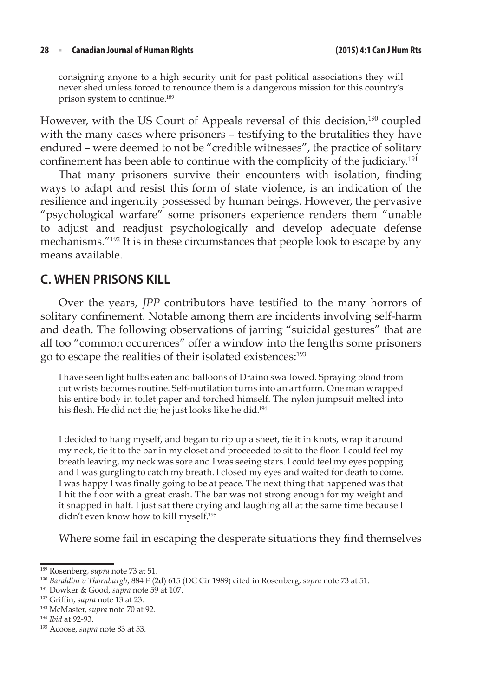consigning anyone to a high security unit for past political associations they will never shed unless forced to renounce them is a dangerous mission for this country's prison system to continue.189

However, with the US Court of Appeals reversal of this decision,<sup>190</sup> coupled with the many cases where prisoners – testifying to the brutalities they have endured – were deemed to not be "credible witnesses", the practice of solitary confinement has been able to continue with the complicity of the judiciary. 191

That many prisoners survive their encounters with isolation, finding ways to adapt and resist this form of state violence, is an indication of the resilience and ingenuity possessed by human beings. However, the pervasive "psychological warfare" some prisoners experience renders them "unable to adjust and readjust psychologically and develop adequate defense mechanisms."192 It is in these circumstances that people look to escape by any means available.

### **C. WHEN PRISONS KILL**

Over the years, *JPP* contributors have testified to the many horrors of solitary confinement. Notable among them are incidents involving self-harm and death. The following observations of jarring "suicidal gestures" that are all too "common occurences" offer a window into the lengths some prisoners go to escape the realities of their isolated existences:193

I have seen light bulbs eaten and balloons of Draino swallowed. Spraying blood from cut wrists becomes routine. Self-mutilation turns into an art form. One man wrapped his entire body in toilet paper and torched himself. The nylon jumpsuit melted into his flesh. He did not die; he just looks like he did.<sup>194</sup>

I decided to hang myself, and began to rip up a sheet, tie it in knots, wrap it around my neck, tie it to the bar in my closet and proceeded to sit to the floor. I could feel my breath leaving, my neck was sore and I was seeing stars. I could feel my eyes popping and I was gurgling to catch my breath. I closed my eyes and waited for death to come. I was happy I was finally going to be at peace. The next thing that happened was that I hit the floor with a great crash. The bar was not strong enough for my weight and it snapped in half. I just sat there crying and laughing all at the same time because I didn't even know how to kill myself.195

Where some fail in escaping the desperate situations they find themselves

<sup>189</sup> Rosenberg, *supra* note 73 at 51.

<sup>190</sup> *Baraldini v Thornburgh*, 884 F (2d) 615 (DC Cir 1989) cited in Rosenberg, *supra* note 73 at 51.

<sup>191</sup> Dowker & Good, *supra* note 59 at 107.

<sup>192</sup> Griffin, *supra* note 13 at 23.

<sup>193</sup> McMaster, *supra* note 70 at 92.

<sup>194</sup> *Ibid* at 92-93.

<sup>195</sup> Acoose, *supra* note 83 at 53.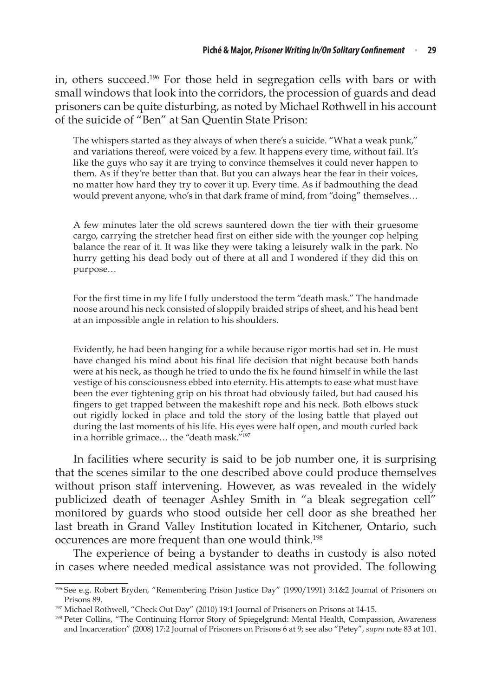in, others succeed.196 For those held in segregation cells with bars or with small windows that look into the corridors, the procession of guards and dead prisoners can be quite disturbing, as noted by Michael Rothwell in his account of the suicide of "Ben" at San Quentin State Prison:

The whispers started as they always of when there's a suicide. "What a weak punk," and variations thereof, were voiced by a few. It happens every time, without fail. It's like the guys who say it are trying to convince themselves it could never happen to them. As if they're better than that. But you can always hear the fear in their voices, no matter how hard they try to cover it up. Every time. As if badmouthing the dead would prevent anyone, who's in that dark frame of mind, from "doing" themselves…

A few minutes later the old screws sauntered down the tier with their gruesome cargo, carrying the stretcher head first on either side with the younger cop helping balance the rear of it. It was like they were taking a leisurely walk in the park. No hurry getting his dead body out of there at all and I wondered if they did this on purpose…

For the first time in my life I fully understood the term "death mask." The handmade noose around his neck consisted of sloppily braided strips of sheet, and his head bent at an impossible angle in relation to his shoulders.

Evidently, he had been hanging for a while because rigor mortis had set in. He must have changed his mind about his final life decision that night because both hands were at his neck, as though he tried to undo the fix he found himself in while the last vestige of his consciousness ebbed into eternity. His attempts to ease what must have been the ever tightening grip on his throat had obviously failed, but had caused his fingers to get trapped between the makeshift rope and his neck. Both elbows stuck out rigidly locked in place and told the story of the losing battle that played out during the last moments of his life. His eyes were half open, and mouth curled back in a horrible grimace... the "death mask."<sup>197</sup>

In facilities where security is said to be job number one, it is surprising that the scenes similar to the one described above could produce themselves without prison staff intervening. However, as was revealed in the widely publicized death of teenager Ashley Smith in "a bleak segregation cell" monitored by guards who stood outside her cell door as she breathed her last breath in Grand Valley Institution located in Kitchener, Ontario, such occurences are more frequent than one would think.<sup>198</sup>

The experience of being a bystander to deaths in custody is also noted in cases where needed medical assistance was not provided. The following

<sup>196</sup> See e.g. Robert Bryden, "Remembering Prison Justice Day" (1990/1991) 3:1&2 Journal of Prisoners on Prisons 89.

<sup>197</sup> Michael Rothwell, "Check Out Day" (2010) 19:1 Journal of Prisoners on Prisons at 14-15.

<sup>198</sup> Peter Collins, "The Continuing Horror Story of Spiegelgrund: Mental Health, Compassion, Awareness and Incarceration" (2008) 17:2 Journal of Prisoners on Prisons 6 at 9; see also "Petey", *supra* note 83 at 101.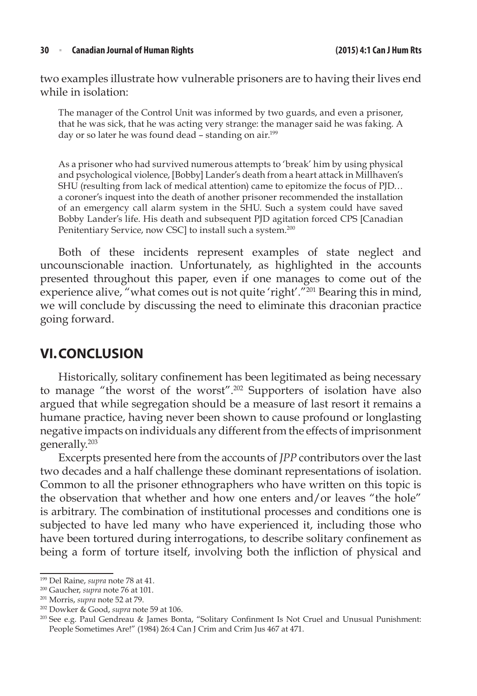two examples illustrate how vulnerable prisoners are to having their lives end while in isolation:

The manager of the Control Unit was informed by two guards, and even a prisoner, that he was sick, that he was acting very strange: the manager said he was faking. A day or so later he was found dead - standing on air.<sup>199</sup>

As a prisoner who had survived numerous attempts to 'break' him by using physical and psychological violence, [Bobby] Lander's death from a heart attack in Millhaven's SHU (resulting from lack of medical attention) came to epitomize the focus of PJD… a coroner's inquest into the death of another prisoner recommended the installation of an emergency call alarm system in the SHU. Such a system could have saved Bobby Lander's life. His death and subsequent PJD agitation forced CPS [Canadian Penitentiary Service, now CSC] to install such a system.<sup>200</sup>

Both of these incidents represent examples of state neglect and uncounscionable inaction. Unfortunately, as highlighted in the accounts presented throughout this paper, even if one manages to come out of the experience alive, "what comes out is not quite 'right'."<sup>201</sup> Bearing this in mind, we will conclude by discussing the need to eliminate this draconian practice going forward.

# **VI.CONCLUSION**

Historically, solitary confinement has been legitimated as being necessary to manage "the worst of the worst".202 Supporters of isolation have also argued that while segregation should be a measure of last resort it remains a humane practice, having never been shown to cause profound or longlasting negative impacts on individuals any different from the effects of imprisonment generally.203

Excerpts presented here from the accounts of *JPP* contributors over the last two decades and a half challenge these dominant representations of isolation. Common to all the prisoner ethnographers who have written on this topic is the observation that whether and how one enters and/or leaves "the hole" is arbitrary. The combination of institutional processes and conditions one is subjected to have led many who have experienced it, including those who have been tortured during interrogations, to describe solitary confinement as being a form of torture itself, involving both the infliction of physical and

<sup>199</sup> Del Raine, *supra* note 78 at 41.

<sup>200</sup> Gaucher, *supra* note 76 at 101.

<sup>201</sup> Morris, *supra* note 52 at 79.

<sup>202</sup> Dowker & Good, *supra* note 59 at 106.

<sup>203</sup> See e.g. Paul Gendreau & James Bonta, "Solitary Confinment Is Not Cruel and Unusual Punishment: People Sometimes Are!" (1984) 26:4 Can J Crim and Crim Jus 467 at 471.